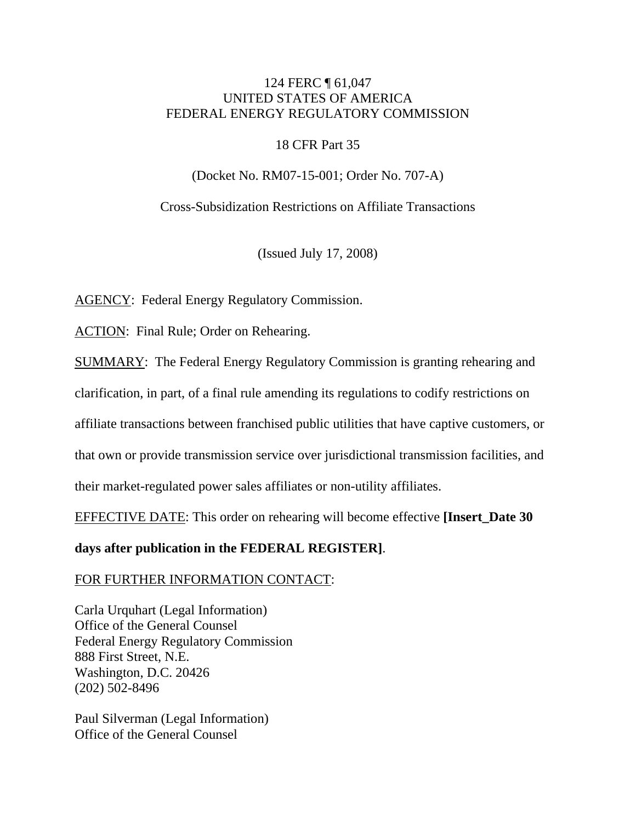## 124 FERC ¶ 61,047 UNITED STATES OF AMERICA FEDERAL ENERGY REGULATORY COMMISSION

## 18 CFR Part 35

(Docket No. RM07-15-001; Order No. 707-A)

Cross-Subsidization Restrictions on Affiliate Transactions

(Issued July 17, 2008)

AGENCY: Federal Energy Regulatory Commission.

ACTION: Final Rule; Order on Rehearing.

SUMMARY: The Federal Energy Regulatory Commission is granting rehearing and

clarification, in part, of a final rule amending its regulations to codify restrictions on

affiliate transactions between franchised public utilities that have captive customers, or

that own or provide transmission service over jurisdictional transmission facilities, and

their market-regulated power sales affiliates or non-utility affiliates.

EFFECTIVE DATE: This order on rehearing will become effective **[Insert\_Date 30** 

## **days after publication in the FEDERAL REGISTER]**.

## FOR FURTHER INFORMATION CONTACT:

Carla Urquhart (Legal Information) Office of the General Counsel Federal Energy Regulatory Commission 888 First Street, N.E. Washington, D.C. 20426 (202) 502-8496

Paul Silverman (Legal Information) Office of the General Counsel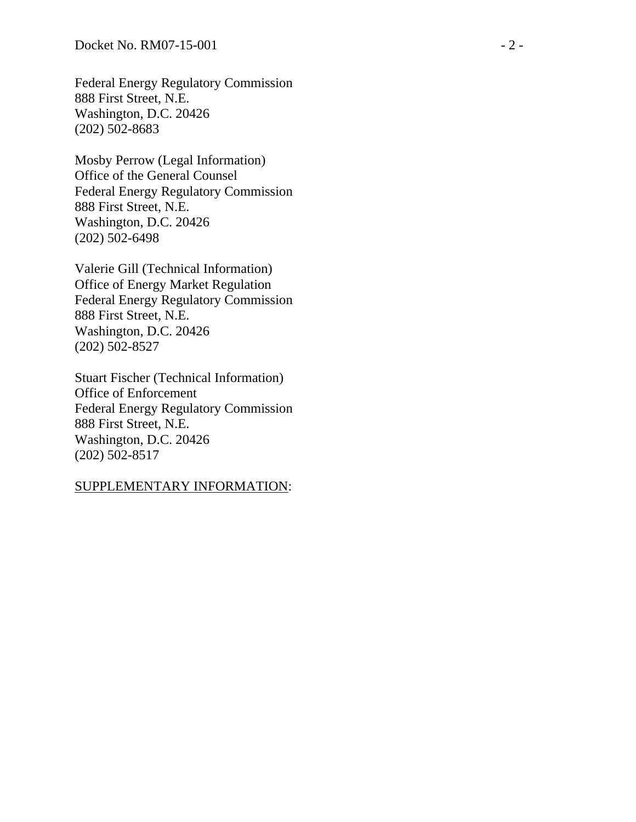Federal Energy Regulatory Commission 888 First Street, N.E. Washington, D.C. 20426 (202) 502-8683

Mosby Perrow (Legal Information) Office of the General Counsel Federal Energy Regulatory Commission 888 First Street, N.E. Washington, D.C. 20426 (202) 502-6498

Valerie Gill (Technical Information) Office of Energy Market Regulation Federal Energy Regulatory Commission 888 First Street, N.E. Washington, D.C. 20426 (202) 502-8527

Stuart Fischer (Technical Information) Office of Enforcement Federal Energy Regulatory Commission 888 First Street, N.E. Washington, D.C. 20426 (202) 502-8517

#### SUPPLEMENTARY INFORMATION: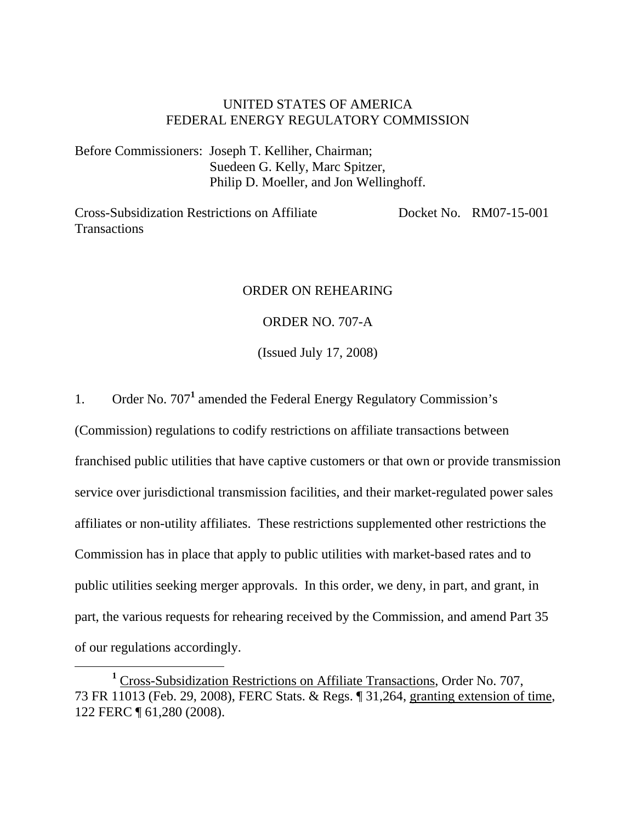## UNITED STATES OF AMERICA FEDERAL ENERGY REGULATORY COMMISSION

Before Commissioners: Joseph T. Kelliher, Chairman; Suedeen G. Kelly, Marc Spitzer, Philip D. Moeller, and Jon Wellinghoff.

Cross-Subsidization Restrictions on Affiliate **Transactions** Docket No. RM07-15-001

## ORDER ON REHEARING

## ORDER NO. 707-A

(Issued July 17, 2008)

1. Order No. 707<sup>1</sup> amended the Federal Energy Regulatory Commission's

(Commission) regulations to codify restrictions on affiliate transactions between franchised public utilities that have captive customers or that own or provide transmission service over jurisdictional transmission facilities, and their market-regulated power sales affiliates or non-utility affiliates. These restrictions supplemented other restrictions the Commission has in place that apply to public utilities with market-based rates and to public utilities seeking merger approvals. In this order, we deny, in part, and grant, in part, the various requests for rehearing received by the Commission, and amend Part 35 of our regulations accordingly.

<sup>&</sup>lt;u>1</u> <sup>1</sup> Cross-Subsidization Restrictions on Affiliate Transactions, Order No. 707, 73 FR 11013 (Feb. 29, 2008), FERC Stats. & Regs. ¶ 31,264, granting extension of time, 122 FERC ¶ 61,280 (2008).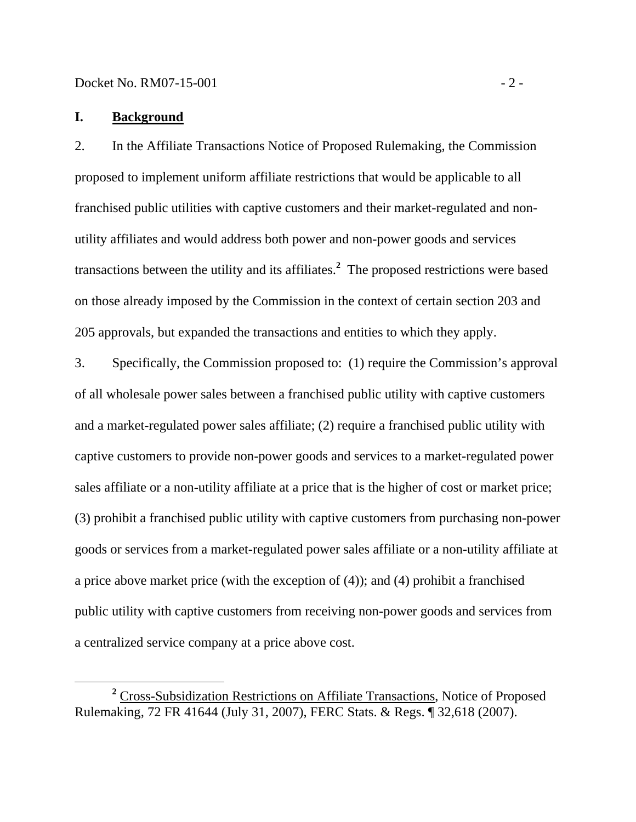Docket No. RM07-15-001 - 2 -

## **I. Background**

2. In the Affiliate Transactions Notice of Proposed Rulemaking, the Commission proposed to implement uniform affiliate restrictions that would be applicable to all franchised public utilities with captive customers and their market-regulated and nonutility affiliates and would address both power and non-power goods and services transactions between the utility and its affiliates.**<sup>2</sup>** The proposed restrictions were based on those already imposed by the Commission in the context of certain section 203 and 205 approvals, but expanded the transactions and entities to which they apply.

3. Specifically, the Commission proposed to: (1) require the Commission's approval of all wholesale power sales between a franchised public utility with captive customers and a market-regulated power sales affiliate; (2) require a franchised public utility with captive customers to provide non-power goods and services to a market-regulated power sales affiliate or a non-utility affiliate at a price that is the higher of cost or market price; (3) prohibit a franchised public utility with captive customers from purchasing non-power goods or services from a market-regulated power sales affiliate or a non-utility affiliate at a price above market price (with the exception of (4)); and (4) prohibit a franchised public utility with captive customers from receiving non-power goods and services from a centralized service company at a price above cost.

**<sup>2</sup>** <sup>2</sup> Cross-Subsidization Restrictions on Affiliate Transactions, Notice of Proposed Rulemaking, 72 FR 41644 (July 31, 2007), FERC Stats. & Regs. ¶ 32,618 (2007).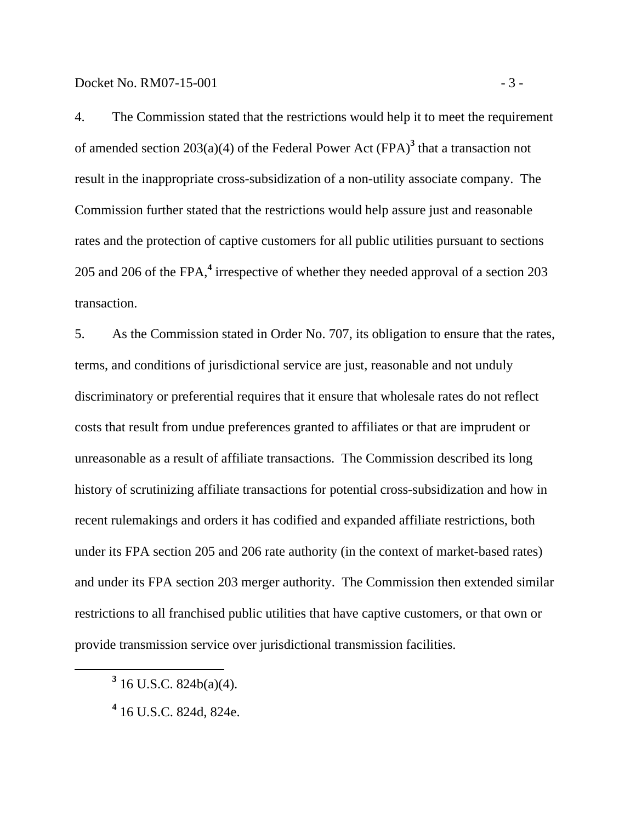4. The Commission stated that the restrictions would help it to meet the requirement of amended section 203(a)(4) of the Federal Power Act (FPA)<sup>3</sup> that a transaction not result in the inappropriate cross-subsidization of a non-utility associate company. The Commission further stated that the restrictions would help assure just and reasonable rates and the protection of captive customers for all public utilities pursuant to sections 205 and 206 of the FPA,**<sup>4</sup>** irrespective of whether they needed approval of a section 203 transaction.

5. As the Commission stated in Order No. 707, its obligation to ensure that the rates, terms, and conditions of jurisdictional service are just, reasonable and not unduly discriminatory or preferential requires that it ensure that wholesale rates do not reflect costs that result from undue preferences granted to affiliates or that are imprudent or unreasonable as a result of affiliate transactions. The Commission described its long history of scrutinizing affiliate transactions for potential cross-subsidization and how in recent rulemakings and orders it has codified and expanded affiliate restrictions, both under its FPA section 205 and 206 rate authority (in the context of market-based rates) and under its FPA section 203 merger authority. The Commission then extended similar restrictions to all franchised public utilities that have captive customers, or that own or provide transmission service over jurisdictional transmission facilities.

**<sup>3</sup>**  $3$  16 U.S.C. 824b(a)(4).

**<sup>4</sup>** 16 U.S.C. 824d, 824e.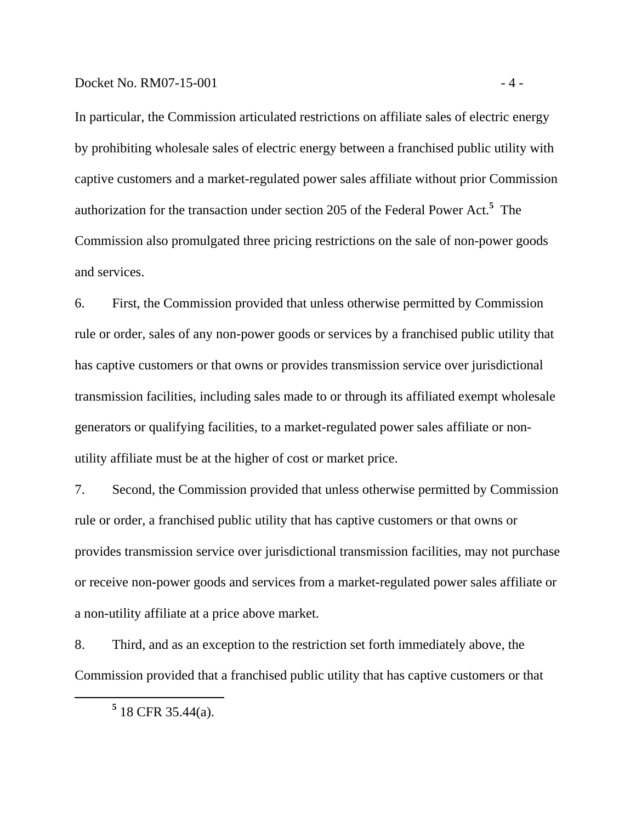In particular, the Commission articulated restrictions on affiliate sales of electric energy by prohibiting wholesale sales of electric energy between a franchised public utility with captive customers and a market-regulated power sales affiliate without prior Commission authorization for the transaction under section 205 of the Federal Power Act.**<sup>5</sup>** The Commission also promulgated three pricing restrictions on the sale of non-power goods and services.

6. First, the Commission provided that unless otherwise permitted by Commission rule or order, sales of any non-power goods or services by a franchised public utility that has captive customers or that owns or provides transmission service over jurisdictional transmission facilities, including sales made to or through its affiliated exempt wholesale generators or qualifying facilities, to a market-regulated power sales affiliate or nonutility affiliate must be at the higher of cost or market price.

7. Second, the Commission provided that unless otherwise permitted by Commission rule or order, a franchised public utility that has captive customers or that owns or provides transmission service over jurisdictional transmission facilities, may not purchase or receive non-power goods and services from a market-regulated power sales affiliate or a non-utility affiliate at a price above market.

8. Third, and as an exception to the restriction set forth immediately above, the Commission provided that a franchised public utility that has captive customers or that

 **<sup>5</sup>**  $5$  18 CFR 35.44(a).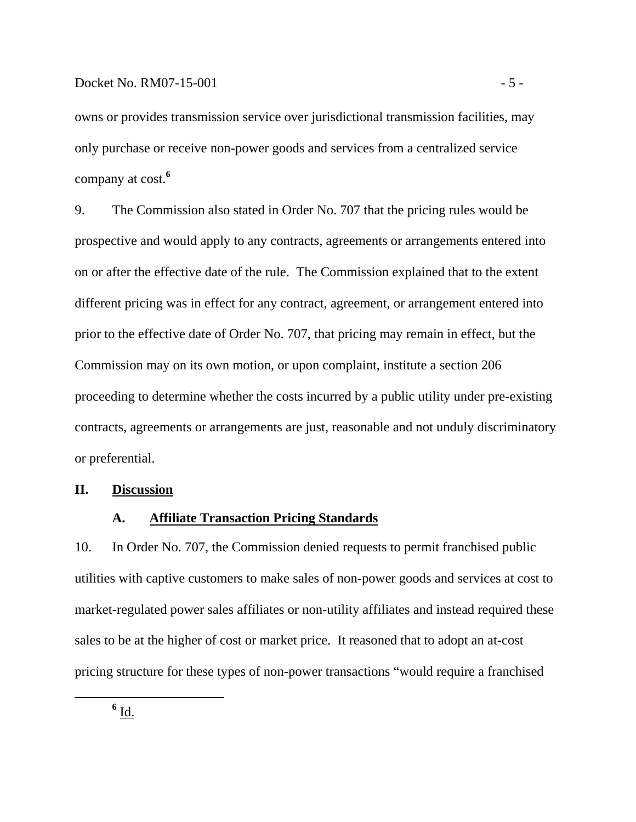owns or provides transmission service over jurisdictional transmission facilities, may only purchase or receive non-power goods and services from a centralized service company at cost.**<sup>6</sup>**

9. The Commission also stated in Order No. 707 that the pricing rules would be prospective and would apply to any contracts, agreements or arrangements entered into on or after the effective date of the rule. The Commission explained that to the extent different pricing was in effect for any contract, agreement, or arrangement entered into prior to the effective date of Order No. 707, that pricing may remain in effect, but the Commission may on its own motion, or upon complaint, institute a section 206 proceeding to determine whether the costs incurred by a public utility under pre-existing contracts, agreements or arrangements are just, reasonable and not unduly discriminatory or preferential.

#### **II. Discussion**

### **A. Affiliate Transaction Pricing Standards**

10. In Order No. 707, the Commission denied requests to permit franchised public utilities with captive customers to make sales of non-power goods and services at cost to market-regulated power sales affiliates or non-utility affiliates and instead required these sales to be at the higher of cost or market price. It reasoned that to adopt an at-cost pricing structure for these types of non-power transactions "would require a franchised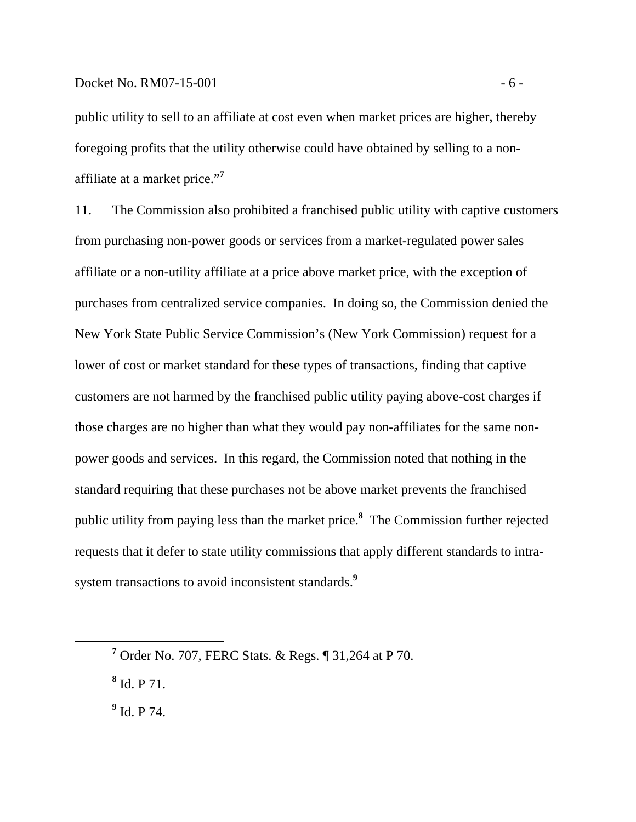public utility to sell to an affiliate at cost even when market prices are higher, thereby foregoing profits that the utility otherwise could have obtained by selling to a nonaffiliate at a market price."**<sup>7</sup>**

11. The Commission also prohibited a franchised public utility with captive customers from purchasing non-power goods or services from a market-regulated power sales affiliate or a non-utility affiliate at a price above market price, with the exception of purchases from centralized service companies. In doing so, the Commission denied the New York State Public Service Commission's (New York Commission) request for a lower of cost or market standard for these types of transactions, finding that captive customers are not harmed by the franchised public utility paying above-cost charges if those charges are no higher than what they would pay non-affiliates for the same nonpower goods and services. In this regard, the Commission noted that nothing in the standard requiring that these purchases not be above market prevents the franchised public utility from paying less than the market price.**<sup>8</sup>** The Commission further rejected requests that it defer to state utility commissions that apply different standards to intrasystem transactions to avoid inconsistent standards.**<sup>9</sup>**

**8** Id. P 71.

**9** Id. P 74.

**<sup>7</sup>** Order No. 707, FERC Stats. & Regs. ¶ 31,264 at P 70.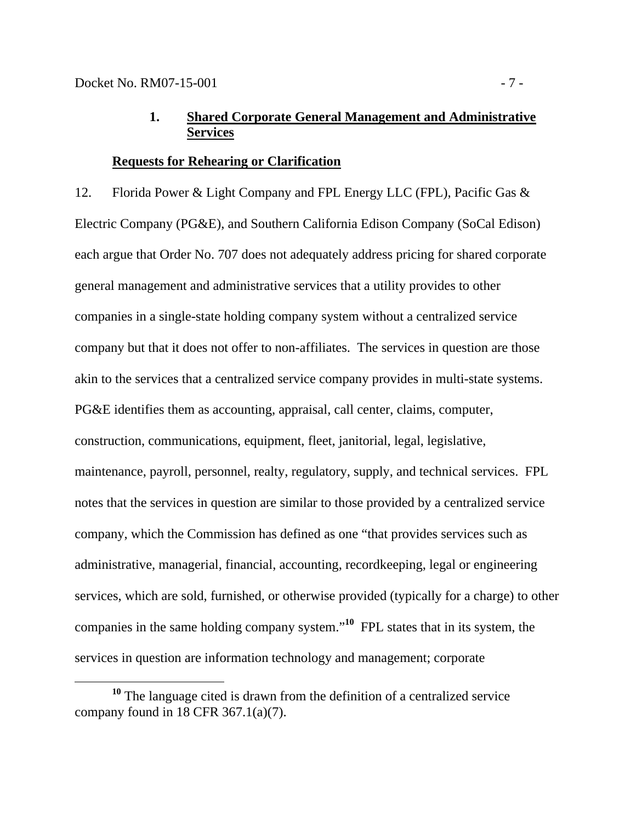# **1. Shared Corporate General Management and Administrative Services**

## **Requests for Rehearing or Clarification**

12. Florida Power & Light Company and FPL Energy LLC (FPL), Pacific Gas & Electric Company (PG&E), and Southern California Edison Company (SoCal Edison) each argue that Order No. 707 does not adequately address pricing for shared corporate general management and administrative services that a utility provides to other companies in a single-state holding company system without a centralized service company but that it does not offer to non-affiliates. The services in question are those akin to the services that a centralized service company provides in multi-state systems. PG&E identifies them as accounting, appraisal, call center, claims, computer, construction, communications, equipment, fleet, janitorial, legal, legislative, maintenance, payroll, personnel, realty, regulatory, supply, and technical services. FPL notes that the services in question are similar to those provided by a centralized service company, which the Commission has defined as one "that provides services such as administrative, managerial, financial, accounting, recordkeeping, legal or engineering services, which are sold, furnished, or otherwise provided (typically for a charge) to other companies in the same holding company system."**<sup>10</sup>** FPL states that in its system, the services in question are information technology and management; corporate

**<sup>10</sup>** The language cited is drawn from the definition of a centralized service company found in 18 CFR  $367.1(a)(7)$ .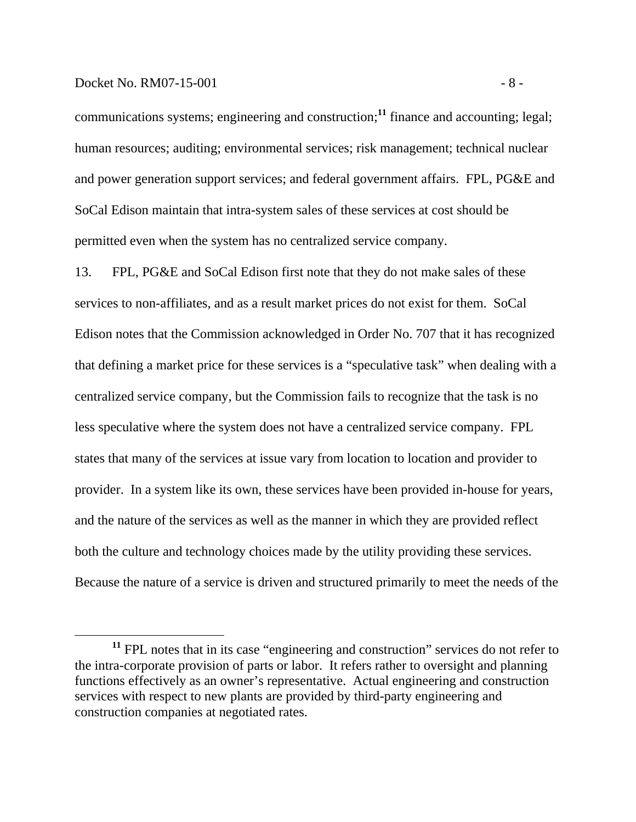#### Docket No. RM07-15-001 - 8 -

communications systems; engineering and construction;**<sup>11</sup>** finance and accounting; legal; human resources; auditing; environmental services; risk management; technical nuclear and power generation support services; and federal government affairs. FPL, PG&E and SoCal Edison maintain that intra-system sales of these services at cost should be permitted even when the system has no centralized service company.

13. FPL, PG&E and SoCal Edison first note that they do not make sales of these services to non-affiliates, and as a result market prices do not exist for them. SoCal Edison notes that the Commission acknowledged in Order No. 707 that it has recognized that defining a market price for these services is a "speculative task" when dealing with a centralized service company, but the Commission fails to recognize that the task is no less speculative where the system does not have a centralized service company. FPL states that many of the services at issue vary from location to location and provider to provider. In a system like its own, these services have been provided in-house for years, and the nature of the services as well as the manner in which they are provided reflect both the culture and technology choices made by the utility providing these services. Because the nature of a service is driven and structured primarily to meet the needs of the

**<sup>11</sup>** FPL notes that in its case "engineering and construction" services do not refer to the intra-corporate provision of parts or labor. It refers rather to oversight and planning functions effectively as an owner's representative. Actual engineering and construction services with respect to new plants are provided by third-party engineering and construction companies at negotiated rates.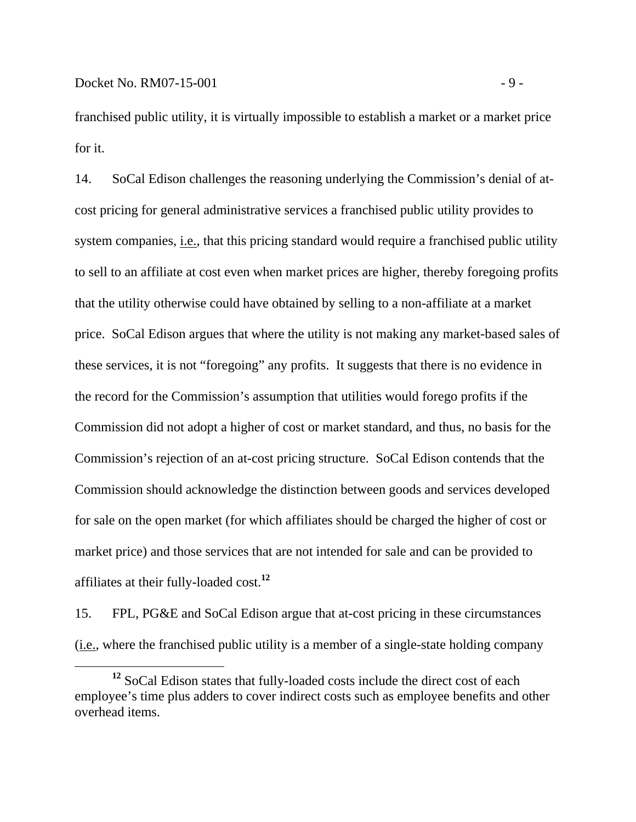franchised public utility, it is virtually impossible to establish a market or a market price for it.

14. SoCal Edison challenges the reasoning underlying the Commission's denial of atcost pricing for general administrative services a franchised public utility provides to system companies, i.e., that this pricing standard would require a franchised public utility to sell to an affiliate at cost even when market prices are higher, thereby foregoing profits that the utility otherwise could have obtained by selling to a non-affiliate at a market price. SoCal Edison argues that where the utility is not making any market-based sales of these services, it is not "foregoing" any profits. It suggests that there is no evidence in the record for the Commission's assumption that utilities would forego profits if the Commission did not adopt a higher of cost or market standard, and thus, no basis for the Commission's rejection of an at-cost pricing structure. SoCal Edison contends that the Commission should acknowledge the distinction between goods and services developed for sale on the open market (for which affiliates should be charged the higher of cost or market price) and those services that are not intended for sale and can be provided to affiliates at their fully-loaded cost.**<sup>12</sup>**

15. FPL, PG&E and SoCal Edison argue that at-cost pricing in these circumstances (i.e., where the franchised public utility is a member of a single-state holding company

**<sup>12</sup>** SoCal Edison states that fully-loaded costs include the direct cost of each employee's time plus adders to cover indirect costs such as employee benefits and other overhead items.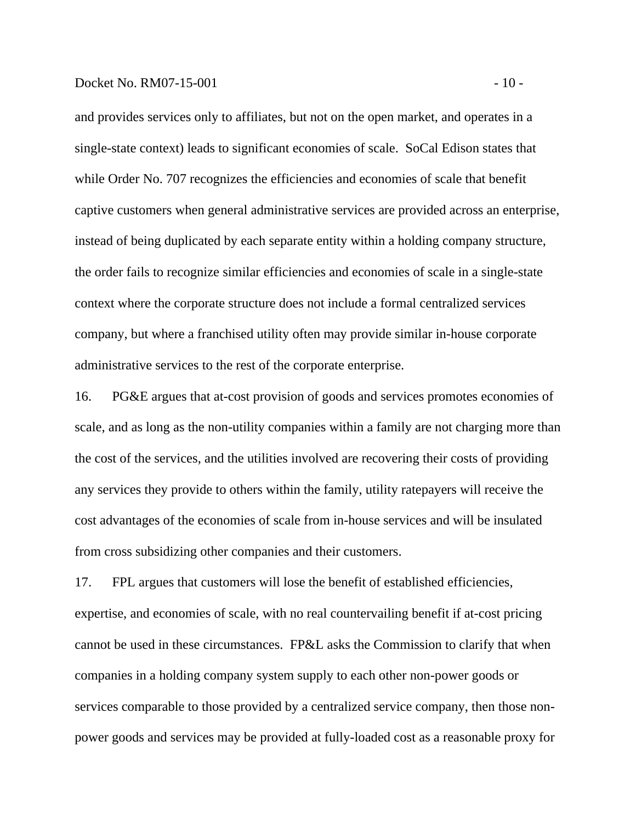#### $Dacket No. RM07-15-001$  - 10 -

and provides services only to affiliates, but not on the open market, and operates in a single-state context) leads to significant economies of scale. SoCal Edison states that while Order No. 707 recognizes the efficiencies and economies of scale that benefit captive customers when general administrative services are provided across an enterprise, instead of being duplicated by each separate entity within a holding company structure, the order fails to recognize similar efficiencies and economies of scale in a single-state context where the corporate structure does not include a formal centralized services company, but where a franchised utility often may provide similar in-house corporate administrative services to the rest of the corporate enterprise.

16. PG&E argues that at-cost provision of goods and services promotes economies of scale, and as long as the non-utility companies within a family are not charging more than the cost of the services, and the utilities involved are recovering their costs of providing any services they provide to others within the family, utility ratepayers will receive the cost advantages of the economies of scale from in-house services and will be insulated from cross subsidizing other companies and their customers.

17. FPL argues that customers will lose the benefit of established efficiencies, expertise, and economies of scale, with no real countervailing benefit if at-cost pricing cannot be used in these circumstances. FP&L asks the Commission to clarify that when companies in a holding company system supply to each other non-power goods or services comparable to those provided by a centralized service company, then those nonpower goods and services may be provided at fully-loaded cost as a reasonable proxy for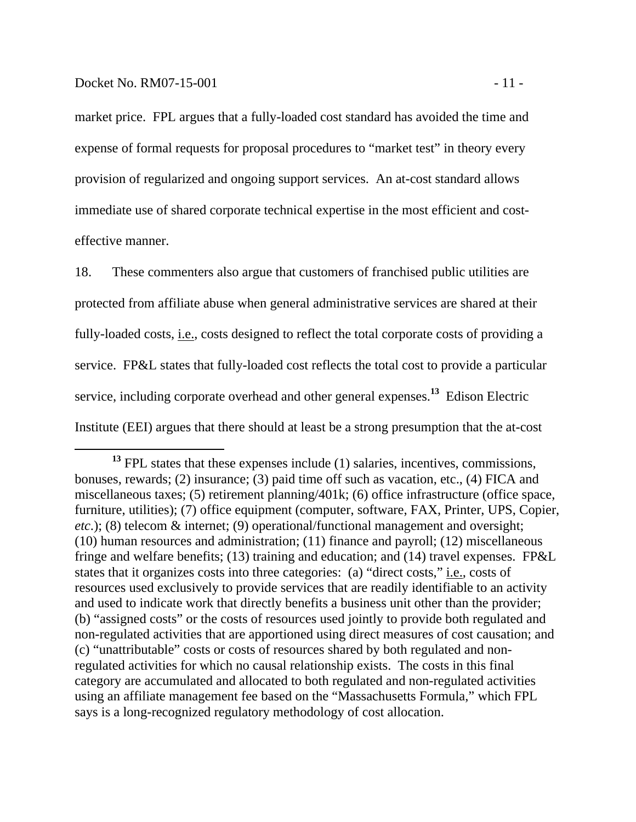market price. FPL argues that a fully-loaded cost standard has avoided the time and expense of formal requests for proposal procedures to "market test" in theory every provision of regularized and ongoing support services. An at-cost standard allows immediate use of shared corporate technical expertise in the most efficient and costeffective manner.

18. These commenters also argue that customers of franchised public utilities are protected from affiliate abuse when general administrative services are shared at their fully-loaded costs, i.e., costs designed to reflect the total corporate costs of providing a service. FP&L states that fully-loaded cost reflects the total cost to provide a particular service, including corporate overhead and other general expenses.**<sup>13</sup>** Edison Electric Institute (EEI) argues that there should at least be a strong presumption that the at-cost

<sup>&</sup>lt;sup>13</sup> FPL states that these expenses include (1) salaries, incentives, commissions, bonuses, rewards; (2) insurance; (3) paid time off such as vacation, etc., (4) FICA and miscellaneous taxes; (5) retirement planning/401k; (6) office infrastructure (office space, furniture, utilities); (7) office equipment (computer, software, FAX, Printer, UPS, Copier, *etc*.); (8) telecom & internet; (9) operational/functional management and oversight; (10) human resources and administration; (11) finance and payroll; (12) miscellaneous fringe and welfare benefits; (13) training and education; and (14) travel expenses. FP&L states that it organizes costs into three categories: (a) "direct costs," i.e., costs of resources used exclusively to provide services that are readily identifiable to an activity and used to indicate work that directly benefits a business unit other than the provider; (b) "assigned costs" or the costs of resources used jointly to provide both regulated and non-regulated activities that are apportioned using direct measures of cost causation; and (c) "unattributable" costs or costs of resources shared by both regulated and nonregulated activities for which no causal relationship exists. The costs in this final category are accumulated and allocated to both regulated and non-regulated activities using an affiliate management fee based on the "Massachusetts Formula," which FPL says is a long-recognized regulatory methodology of cost allocation.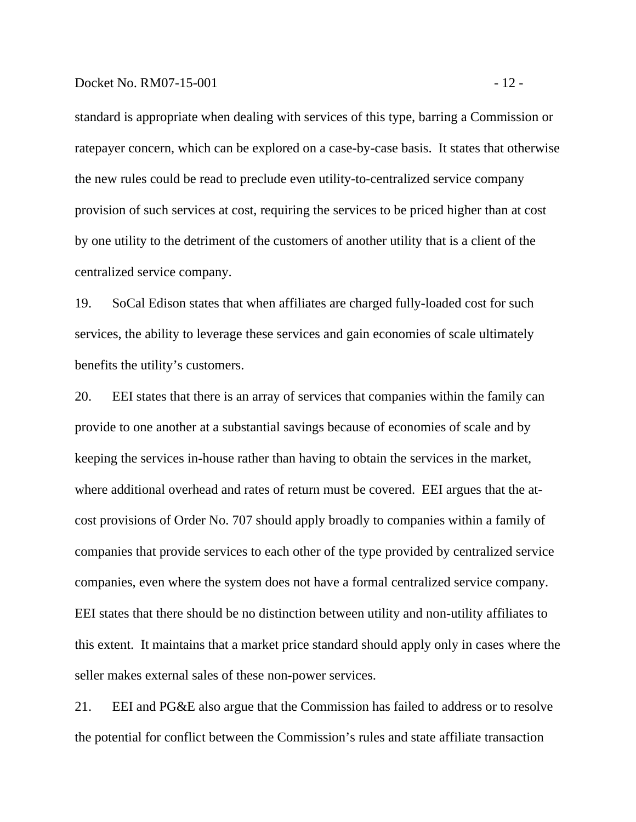#### Docket No. RM07-15-001 - 12 -

standard is appropriate when dealing with services of this type, barring a Commission or ratepayer concern, which can be explored on a case-by-case basis. It states that otherwise the new rules could be read to preclude even utility-to-centralized service company provision of such services at cost, requiring the services to be priced higher than at cost by one utility to the detriment of the customers of another utility that is a client of the centralized service company.

19. SoCal Edison states that when affiliates are charged fully-loaded cost for such services, the ability to leverage these services and gain economies of scale ultimately benefits the utility's customers.

20. EEI states that there is an array of services that companies within the family can provide to one another at a substantial savings because of economies of scale and by keeping the services in-house rather than having to obtain the services in the market, where additional overhead and rates of return must be covered. EEI argues that the atcost provisions of Order No. 707 should apply broadly to companies within a family of companies that provide services to each other of the type provided by centralized service companies, even where the system does not have a formal centralized service company. EEI states that there should be no distinction between utility and non-utility affiliates to this extent. It maintains that a market price standard should apply only in cases where the seller makes external sales of these non-power services.

21. EEI and PG&E also argue that the Commission has failed to address or to resolve the potential for conflict between the Commission's rules and state affiliate transaction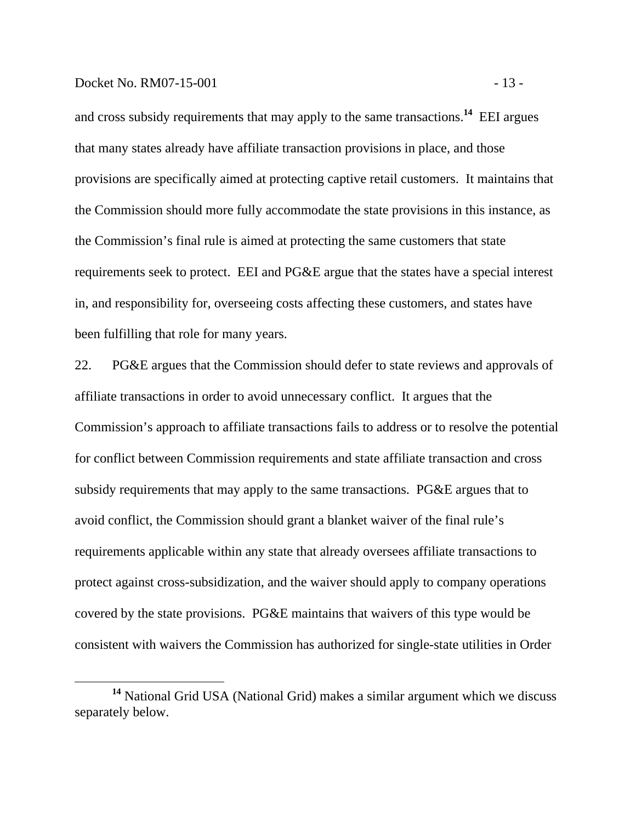#### Docket No. RM07-15-001 - 13 -

and cross subsidy requirements that may apply to the same transactions.**<sup>14</sup>** EEI argues that many states already have affiliate transaction provisions in place, and those provisions are specifically aimed at protecting captive retail customers. It maintains that the Commission should more fully accommodate the state provisions in this instance, as the Commission's final rule is aimed at protecting the same customers that state requirements seek to protect. EEI and PG&E argue that the states have a special interest in, and responsibility for, overseeing costs affecting these customers, and states have been fulfilling that role for many years.

22. PG&E argues that the Commission should defer to state reviews and approvals of affiliate transactions in order to avoid unnecessary conflict. It argues that the Commission's approach to affiliate transactions fails to address or to resolve the potential for conflict between Commission requirements and state affiliate transaction and cross subsidy requirements that may apply to the same transactions. PG&E argues that to avoid conflict, the Commission should grant a blanket waiver of the final rule's requirements applicable within any state that already oversees affiliate transactions to protect against cross-subsidization, and the waiver should apply to company operations covered by the state provisions. PG&E maintains that waivers of this type would be consistent with waivers the Commission has authorized for single-state utilities in Order

**<sup>14</sup>** National Grid USA (National Grid) makes a similar argument which we discuss separately below.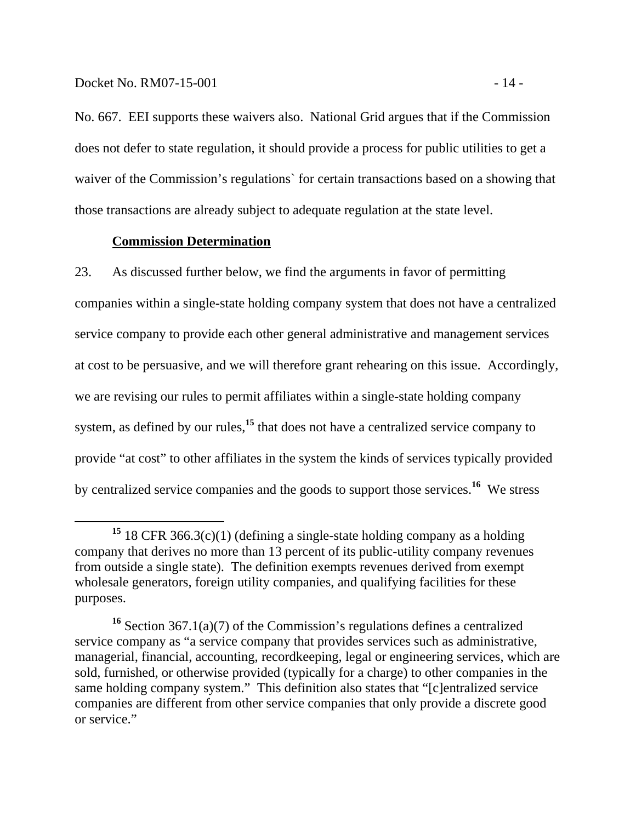No. 667. EEI supports these waivers also. National Grid argues that if the Commission does not defer to state regulation, it should provide a process for public utilities to get a waiver of the Commission's regulations` for certain transactions based on a showing that those transactions are already subject to adequate regulation at the state level.

### **Commission Determination**

23. As discussed further below, we find the arguments in favor of permitting companies within a single-state holding company system that does not have a centralized service company to provide each other general administrative and management services at cost to be persuasive, and we will therefore grant rehearing on this issue. Accordingly, we are revising our rules to permit affiliates within a single-state holding company system, as defined by our rules,<sup>15</sup> that does not have a centralized service company to provide "at cost" to other affiliates in the system the kinds of services typically provided by centralized service companies and the goods to support those services.**<sup>16</sup>** We stress

**<sup>15</sup>** 18 CFR 366.3(c)(1) (defining a single-state holding company as a holding company that derives no more than 13 percent of its public-utility company revenues from outside a single state). The definition exempts revenues derived from exempt wholesale generators, foreign utility companies, and qualifying facilities for these purposes.

**<sup>16</sup>** Section 367.1(a)(7) of the Commission's regulations defines a centralized service company as "a service company that provides services such as administrative, managerial, financial, accounting, recordkeeping, legal or engineering services, which are sold, furnished, or otherwise provided (typically for a charge) to other companies in the same holding company system." This definition also states that "[c]entralized service companies are different from other service companies that only provide a discrete good or service."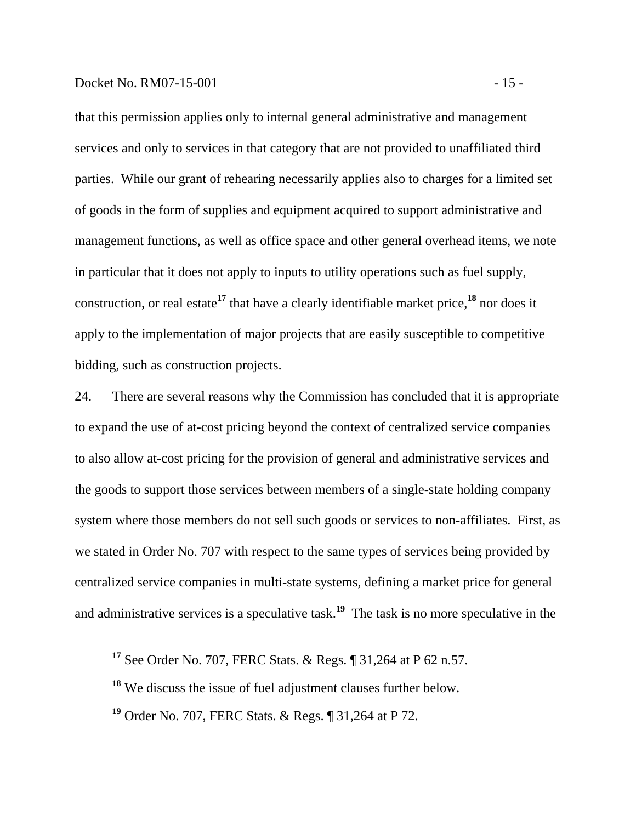#### Docket No. RM07-15-001 - 15 -

that this permission applies only to internal general administrative and management services and only to services in that category that are not provided to unaffiliated third parties. While our grant of rehearing necessarily applies also to charges for a limited set of goods in the form of supplies and equipment acquired to support administrative and management functions, as well as office space and other general overhead items, we note in particular that it does not apply to inputs to utility operations such as fuel supply, construction, or real estate**<sup>17</sup>** that have a clearly identifiable market price,**<sup>18</sup>** nor does it apply to the implementation of major projects that are easily susceptible to competitive bidding, such as construction projects.

24. There are several reasons why the Commission has concluded that it is appropriate to expand the use of at-cost pricing beyond the context of centralized service companies to also allow at-cost pricing for the provision of general and administrative services and the goods to support those services between members of a single-state holding company system where those members do not sell such goods or services to non-affiliates. First, as we stated in Order No. 707 with respect to the same types of services being provided by centralized service companies in multi-state systems, defining a market price for general and administrative services is a speculative task.**<sup>19</sup>** The task is no more speculative in the

**<sup>17</sup>** See Order No. 707, FERC Stats. & Regs. ¶ 31,264 at P 62 n.57.

**<sup>18</sup>** We discuss the issue of fuel adjustment clauses further below.

**<sup>19</sup>** Order No. 707, FERC Stats. & Regs. ¶ 31,264 at P 72.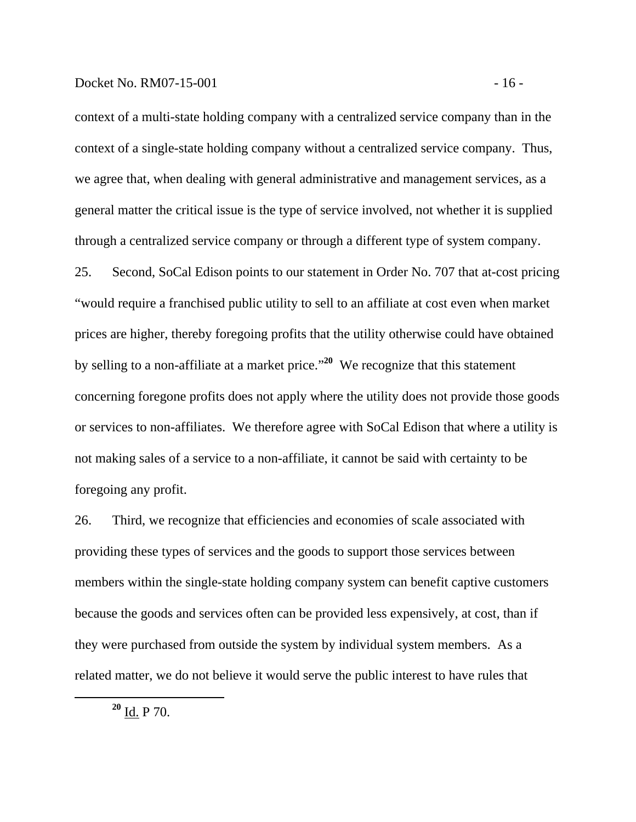#### Docket No. RM07-15-001 - 16 -

context of a multi-state holding company with a centralized service company than in the context of a single-state holding company without a centralized service company. Thus, we agree that, when dealing with general administrative and management services, as a general matter the critical issue is the type of service involved, not whether it is supplied through a centralized service company or through a different type of system company.

25. Second, SoCal Edison points to our statement in Order No. 707 that at-cost pricing "would require a franchised public utility to sell to an affiliate at cost even when market prices are higher, thereby foregoing profits that the utility otherwise could have obtained by selling to a non-affiliate at a market price."**<sup>20</sup>** We recognize that this statement concerning foregone profits does not apply where the utility does not provide those goods or services to non-affiliates. We therefore agree with SoCal Edison that where a utility is not making sales of a service to a non-affiliate, it cannot be said with certainty to be foregoing any profit.

26. Third, we recognize that efficiencies and economies of scale associated with providing these types of services and the goods to support those services between members within the single-state holding company system can benefit captive customers because the goods and services often can be provided less expensively, at cost, than if they were purchased from outside the system by individual system members. As a related matter, we do not believe it would serve the public interest to have rules that

**<sup>20</sup>** Id. P 70.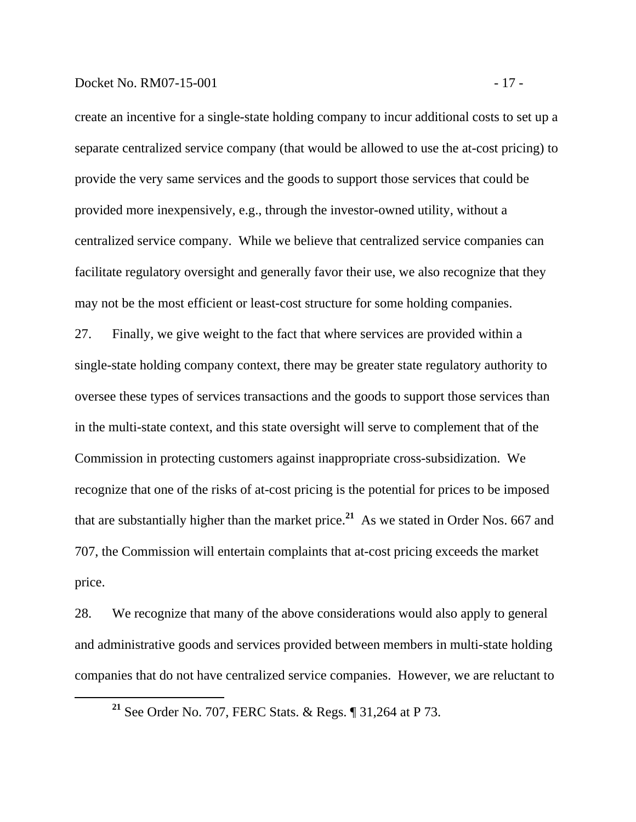## Docket No. RM07-15-001 - 17 -

create an incentive for a single-state holding company to incur additional costs to set up a separate centralized service company (that would be allowed to use the at-cost pricing) to provide the very same services and the goods to support those services that could be provided more inexpensively, e.g., through the investor-owned utility, without a centralized service company. While we believe that centralized service companies can facilitate regulatory oversight and generally favor their use, we also recognize that they may not be the most efficient or least-cost structure for some holding companies.

27. Finally, we give weight to the fact that where services are provided within a single-state holding company context, there may be greater state regulatory authority to oversee these types of services transactions and the goods to support those services than in the multi-state context, and this state oversight will serve to complement that of the Commission in protecting customers against inappropriate cross-subsidization. We recognize that one of the risks of at-cost pricing is the potential for prices to be imposed that are substantially higher than the market price.**<sup>21</sup>** As we stated in Order Nos. 667 and 707, the Commission will entertain complaints that at-cost pricing exceeds the market price.

28. We recognize that many of the above considerations would also apply to general and administrative goods and services provided between members in multi-state holding companies that do not have centralized service companies. However, we are reluctant to

**<sup>21</sup>** See Order No. 707, FERC Stats. & Regs. ¶ 31,264 at P 73.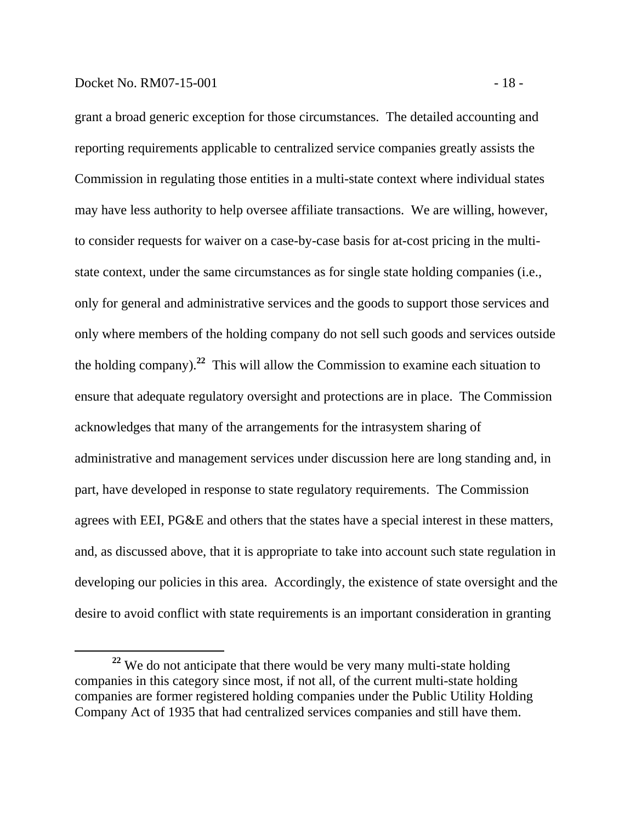#### Docket No. RM07-15-001 - 18 -

grant a broad generic exception for those circumstances. The detailed accounting and reporting requirements applicable to centralized service companies greatly assists the Commission in regulating those entities in a multi-state context where individual states may have less authority to help oversee affiliate transactions. We are willing, however, to consider requests for waiver on a case-by-case basis for at-cost pricing in the multistate context, under the same circumstances as for single state holding companies (i.e., only for general and administrative services and the goods to support those services and only where members of the holding company do not sell such goods and services outside the holding company).**<sup>22</sup>** This will allow the Commission to examine each situation to ensure that adequate regulatory oversight and protections are in place. The Commission acknowledges that many of the arrangements for the intrasystem sharing of administrative and management services under discussion here are long standing and, in part, have developed in response to state regulatory requirements. The Commission agrees with EEI, PG&E and others that the states have a special interest in these matters, and, as discussed above, that it is appropriate to take into account such state regulation in developing our policies in this area. Accordingly, the existence of state oversight and the desire to avoid conflict with state requirements is an important consideration in granting

**<sup>22</sup>** We do not anticipate that there would be very many multi-state holding companies in this category since most, if not all, of the current multi-state holding companies are former registered holding companies under the Public Utility Holding Company Act of 1935 that had centralized services companies and still have them.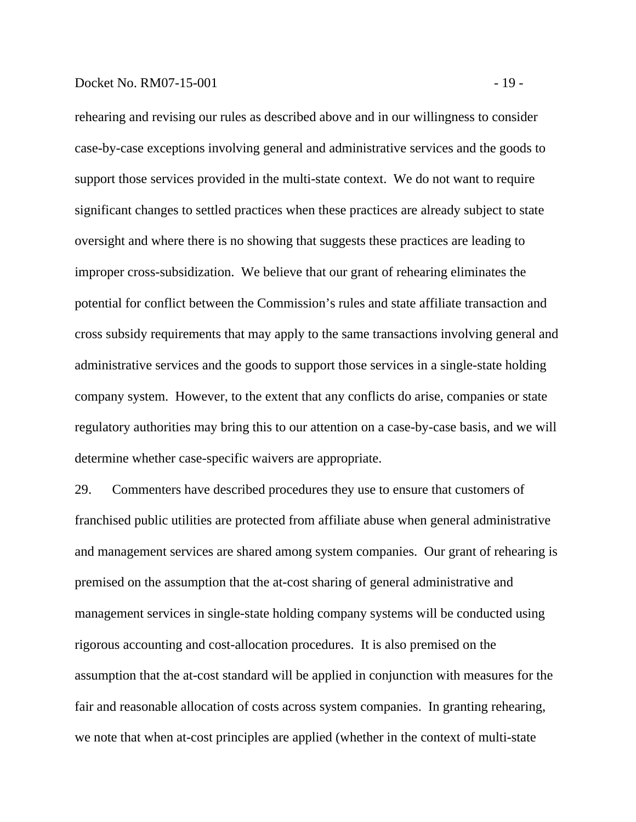#### Docket No. RM07-15-001 - 19 -

rehearing and revising our rules as described above and in our willingness to consider case-by-case exceptions involving general and administrative services and the goods to support those services provided in the multi-state context. We do not want to require significant changes to settled practices when these practices are already subject to state oversight and where there is no showing that suggests these practices are leading to improper cross-subsidization. We believe that our grant of rehearing eliminates the potential for conflict between the Commission's rules and state affiliate transaction and cross subsidy requirements that may apply to the same transactions involving general and administrative services and the goods to support those services in a single-state holding company system. However, to the extent that any conflicts do arise, companies or state regulatory authorities may bring this to our attention on a case-by-case basis, and we will determine whether case-specific waivers are appropriate.

29. Commenters have described procedures they use to ensure that customers of franchised public utilities are protected from affiliate abuse when general administrative and management services are shared among system companies. Our grant of rehearing is premised on the assumption that the at-cost sharing of general administrative and management services in single-state holding company systems will be conducted using rigorous accounting and cost-allocation procedures. It is also premised on the assumption that the at-cost standard will be applied in conjunction with measures for the fair and reasonable allocation of costs across system companies. In granting rehearing, we note that when at-cost principles are applied (whether in the context of multi-state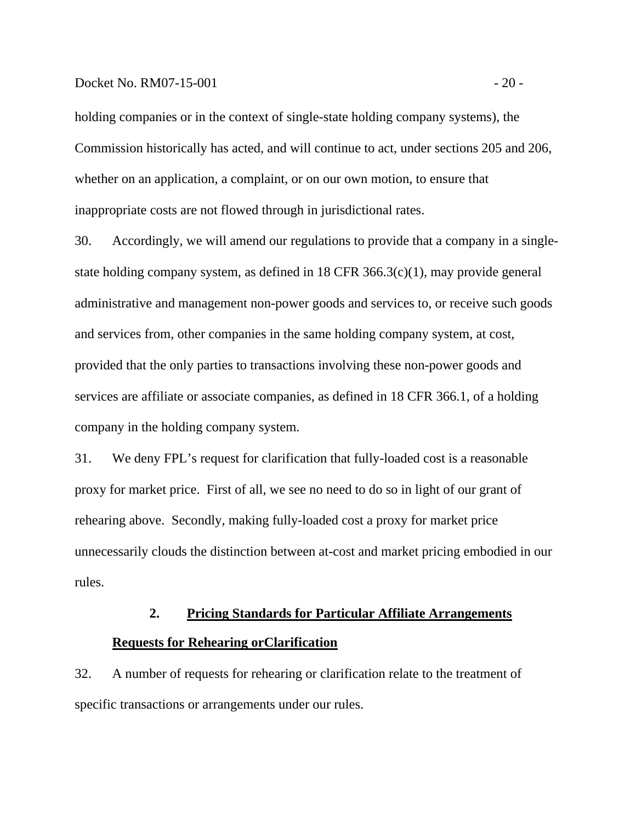#### Docket No. RM07-15-001 - 20 -

holding companies or in the context of single-state holding company systems), the Commission historically has acted, and will continue to act, under sections 205 and 206, whether on an application, a complaint, or on our own motion, to ensure that inappropriate costs are not flowed through in jurisdictional rates.

30. Accordingly, we will amend our regulations to provide that a company in a singlestate holding company system, as defined in 18 CFR 366.3(c)(1), may provide general administrative and management non-power goods and services to, or receive such goods and services from, other companies in the same holding company system, at cost, provided that the only parties to transactions involving these non-power goods and services are affiliate or associate companies, as defined in 18 CFR 366.1, of a holding company in the holding company system.

31. We deny FPL's request for clarification that fully-loaded cost is a reasonable proxy for market price. First of all, we see no need to do so in light of our grant of rehearing above. Secondly, making fully-loaded cost a proxy for market price unnecessarily clouds the distinction between at-cost and market pricing embodied in our rules.

# **2. Pricing Standards for Particular Affiliate Arrangements Requests for Rehearing orClarification**

32. A number of requests for rehearing or clarification relate to the treatment of specific transactions or arrangements under our rules.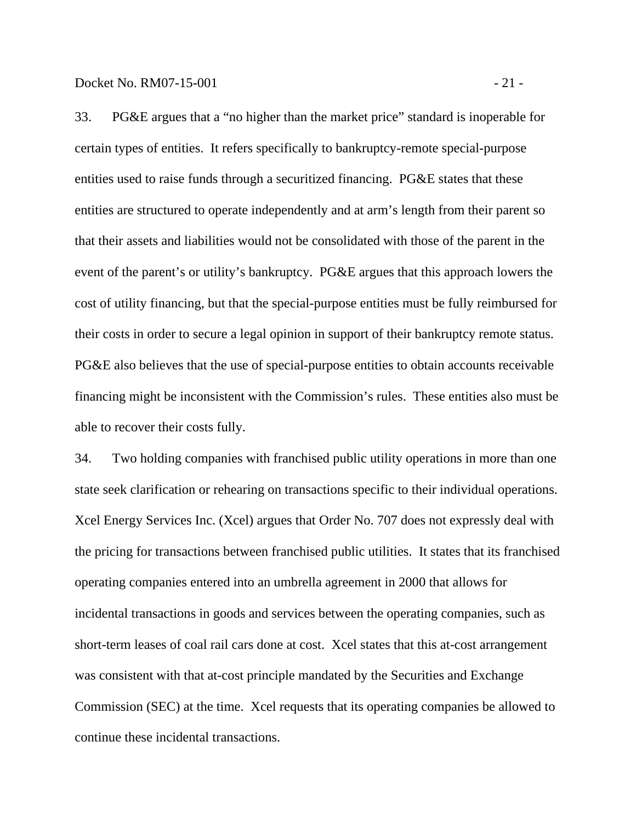33. PG&E argues that a "no higher than the market price" standard is inoperable for certain types of entities. It refers specifically to bankruptcy-remote special-purpose entities used to raise funds through a securitized financing. PG&E states that these entities are structured to operate independently and at arm's length from their parent so that their assets and liabilities would not be consolidated with those of the parent in the event of the parent's or utility's bankruptcy. PG&E argues that this approach lowers the cost of utility financing, but that the special-purpose entities must be fully reimbursed for their costs in order to secure a legal opinion in support of their bankruptcy remote status. PG&E also believes that the use of special-purpose entities to obtain accounts receivable financing might be inconsistent with the Commission's rules. These entities also must be able to recover their costs fully.

34. Two holding companies with franchised public utility operations in more than one state seek clarification or rehearing on transactions specific to their individual operations. Xcel Energy Services Inc. (Xcel) argues that Order No. 707 does not expressly deal with the pricing for transactions between franchised public utilities. It states that its franchised operating companies entered into an umbrella agreement in 2000 that allows for incidental transactions in goods and services between the operating companies, such as short-term leases of coal rail cars done at cost. Xcel states that this at-cost arrangement was consistent with that at-cost principle mandated by the Securities and Exchange Commission (SEC) at the time. Xcel requests that its operating companies be allowed to continue these incidental transactions.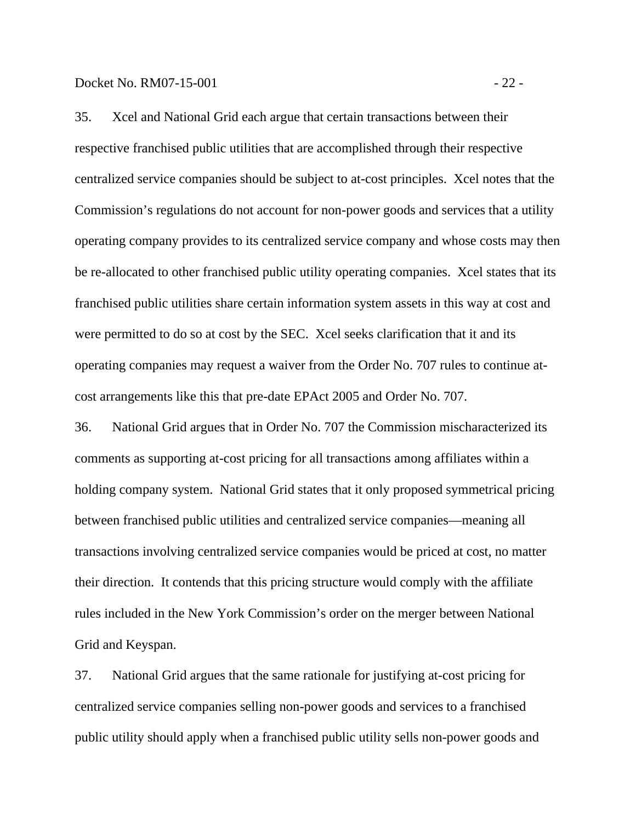35. Xcel and National Grid each argue that certain transactions between their respective franchised public utilities that are accomplished through their respective centralized service companies should be subject to at-cost principles. Xcel notes that the Commission's regulations do not account for non-power goods and services that a utility operating company provides to its centralized service company and whose costs may then be re-allocated to other franchised public utility operating companies. Xcel states that its franchised public utilities share certain information system assets in this way at cost and were permitted to do so at cost by the SEC. Xcel seeks clarification that it and its operating companies may request a waiver from the Order No. 707 rules to continue atcost arrangements like this that pre-date EPAct 2005 and Order No. 707.

36. National Grid argues that in Order No. 707 the Commission mischaracterized its comments as supporting at-cost pricing for all transactions among affiliates within a holding company system. National Grid states that it only proposed symmetrical pricing between franchised public utilities and centralized service companies—meaning all transactions involving centralized service companies would be priced at cost, no matter their direction. It contends that this pricing structure would comply with the affiliate rules included in the New York Commission's order on the merger between National Grid and Keyspan.

37. National Grid argues that the same rationale for justifying at-cost pricing for centralized service companies selling non-power goods and services to a franchised public utility should apply when a franchised public utility sells non-power goods and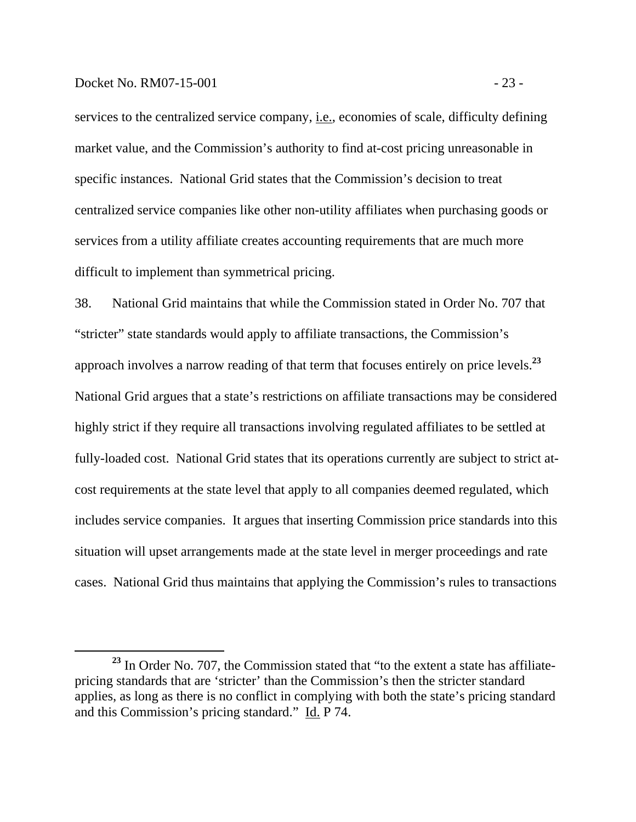#### Docket No. RM07-15-001 - 23 -

services to the centralized service company, i.e., economies of scale, difficulty defining market value, and the Commission's authority to find at-cost pricing unreasonable in specific instances. National Grid states that the Commission's decision to treat centralized service companies like other non-utility affiliates when purchasing goods or services from a utility affiliate creates accounting requirements that are much more difficult to implement than symmetrical pricing.

38. National Grid maintains that while the Commission stated in Order No. 707 that "stricter" state standards would apply to affiliate transactions, the Commission's approach involves a narrow reading of that term that focuses entirely on price levels.**<sup>23</sup>** National Grid argues that a state's restrictions on affiliate transactions may be considered highly strict if they require all transactions involving regulated affiliates to be settled at fully-loaded cost. National Grid states that its operations currently are subject to strict atcost requirements at the state level that apply to all companies deemed regulated, which includes service companies. It argues that inserting Commission price standards into this situation will upset arrangements made at the state level in merger proceedings and rate cases. National Grid thus maintains that applying the Commission's rules to transactions

**<sup>23</sup>** In Order No. 707, the Commission stated that "to the extent a state has affiliatepricing standards that are 'stricter' than the Commission's then the stricter standard applies, as long as there is no conflict in complying with both the state's pricing standard and this Commission's pricing standard." Id. P 74.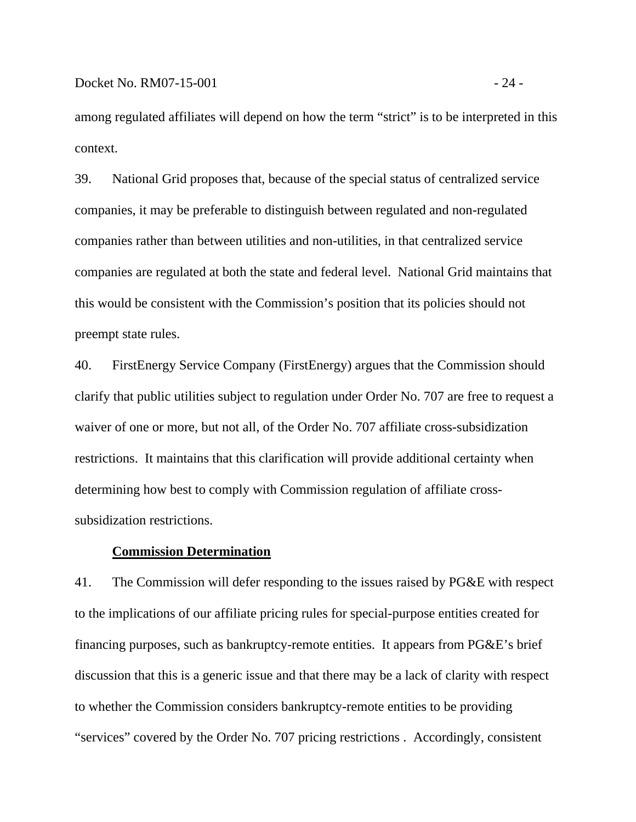among regulated affiliates will depend on how the term "strict" is to be interpreted in this context.

39. National Grid proposes that, because of the special status of centralized service companies, it may be preferable to distinguish between regulated and non-regulated companies rather than between utilities and non-utilities, in that centralized service companies are regulated at both the state and federal level. National Grid maintains that this would be consistent with the Commission's position that its policies should not preempt state rules.

40. FirstEnergy Service Company (FirstEnergy) argues that the Commission should clarify that public utilities subject to regulation under Order No. 707 are free to request a waiver of one or more, but not all, of the Order No. 707 affiliate cross-subsidization restrictions. It maintains that this clarification will provide additional certainty when determining how best to comply with Commission regulation of affiliate crosssubsidization restrictions.

#### **Commission Determination**

41. The Commission will defer responding to the issues raised by PG&E with respect to the implications of our affiliate pricing rules for special-purpose entities created for financing purposes, such as bankruptcy-remote entities. It appears from PG&E's brief discussion that this is a generic issue and that there may be a lack of clarity with respect to whether the Commission considers bankruptcy-remote entities to be providing "services" covered by the Order No. 707 pricing restrictions . Accordingly, consistent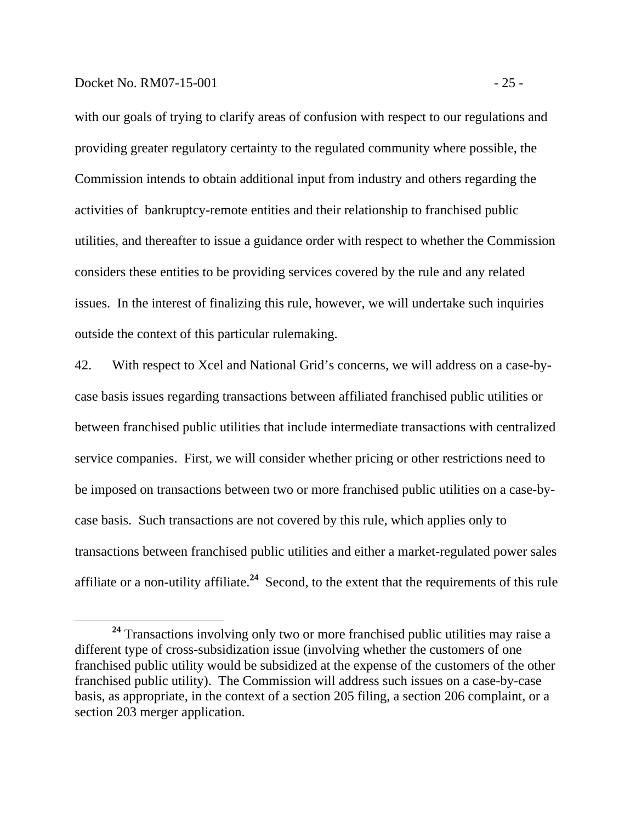#### Docket No. RM07-15-001 - 25 -

with our goals of trying to clarify areas of confusion with respect to our regulations and providing greater regulatory certainty to the regulated community where possible, the Commission intends to obtain additional input from industry and others regarding the activities of bankruptcy-remote entities and their relationship to franchised public utilities, and thereafter to issue a guidance order with respect to whether the Commission considers these entities to be providing services covered by the rule and any related issues. In the interest of finalizing this rule, however, we will undertake such inquiries outside the context of this particular rulemaking.

42. With respect to Xcel and National Grid's concerns, we will address on a case-bycase basis issues regarding transactions between affiliated franchised public utilities or between franchised public utilities that include intermediate transactions with centralized service companies. First, we will consider whether pricing or other restrictions need to be imposed on transactions between two or more franchised public utilities on a case-bycase basis. Such transactions are not covered by this rule, which applies only to transactions between franchised public utilities and either a market-regulated power sales affiliate or a non-utility affiliate.**<sup>24</sup>** Second, to the extent that the requirements of this rule

**<sup>24</sup>** Transactions involving only two or more franchised public utilities may raise a different type of cross-subsidization issue (involving whether the customers of one franchised public utility would be subsidized at the expense of the customers of the other franchised public utility). The Commission will address such issues on a case-by-case basis, as appropriate, in the context of a section 205 filing, a section 206 complaint, or a section 203 merger application.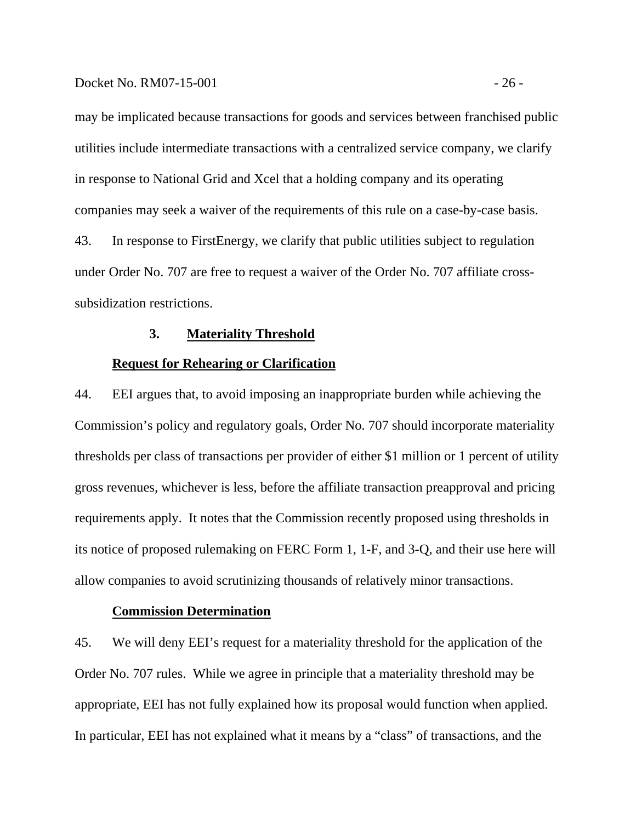#### Docket No. RM07-15-001 - 26 -

may be implicated because transactions for goods and services between franchised public utilities include intermediate transactions with a centralized service company, we clarify in response to National Grid and Xcel that a holding company and its operating companies may seek a waiver of the requirements of this rule on a case-by-case basis. 43. In response to FirstEnergy, we clarify that public utilities subject to regulation under Order No. 707 are free to request a waiver of the Order No. 707 affiliate crosssubsidization restrictions.

## **3. Materiality Threshold**

#### **Request for Rehearing or Clarification**

44. EEI argues that, to avoid imposing an inappropriate burden while achieving the Commission's policy and regulatory goals, Order No. 707 should incorporate materiality thresholds per class of transactions per provider of either \$1 million or 1 percent of utility gross revenues, whichever is less, before the affiliate transaction preapproval and pricing requirements apply. It notes that the Commission recently proposed using thresholds in its notice of proposed rulemaking on FERC Form 1, 1-F, and 3-Q, and their use here will allow companies to avoid scrutinizing thousands of relatively minor transactions.

#### **Commission Determination**

45. We will deny EEI's request for a materiality threshold for the application of the Order No. 707 rules. While we agree in principle that a materiality threshold may be appropriate, EEI has not fully explained how its proposal would function when applied. In particular, EEI has not explained what it means by a "class" of transactions, and the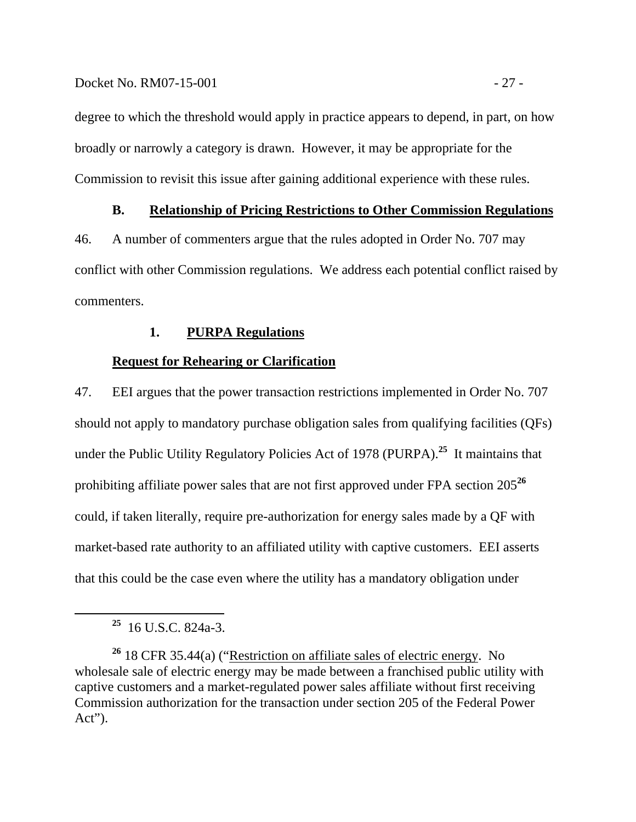## Docket No. RM07-15-001 - 27 -

degree to which the threshold would apply in practice appears to depend, in part, on how broadly or narrowly a category is drawn. However, it may be appropriate for the Commission to revisit this issue after gaining additional experience with these rules.

## **B. Relationship of Pricing Restrictions to Other Commission Regulations**

46. A number of commenters argue that the rules adopted in Order No. 707 may conflict with other Commission regulations. We address each potential conflict raised by commenters.

## **1. PURPA Regulations**

## **Request for Rehearing or Clarification**

47. EEI argues that the power transaction restrictions implemented in Order No. 707 should not apply to mandatory purchase obligation sales from qualifying facilities (QFs) under the Public Utility Regulatory Policies Act of 1978 (PURPA).**<sup>25</sup>** It maintains that prohibiting affiliate power sales that are not first approved under FPA section 205**<sup>26</sup>** could, if taken literally, require pre-authorization for energy sales made by a QF with market-based rate authority to an affiliated utility with captive customers. EEI asserts that this could be the case even where the utility has a mandatory obligation under

**<sup>25</sup>** 16 U.S.C. 824a-3.

**<sup>26</sup>** 18 CFR 35.44(a) ("Restriction on affiliate sales of electric energy. No wholesale sale of electric energy may be made between a franchised public utility with captive customers and a market-regulated power sales affiliate without first receiving Commission authorization for the transaction under section 205 of the Federal Power Act").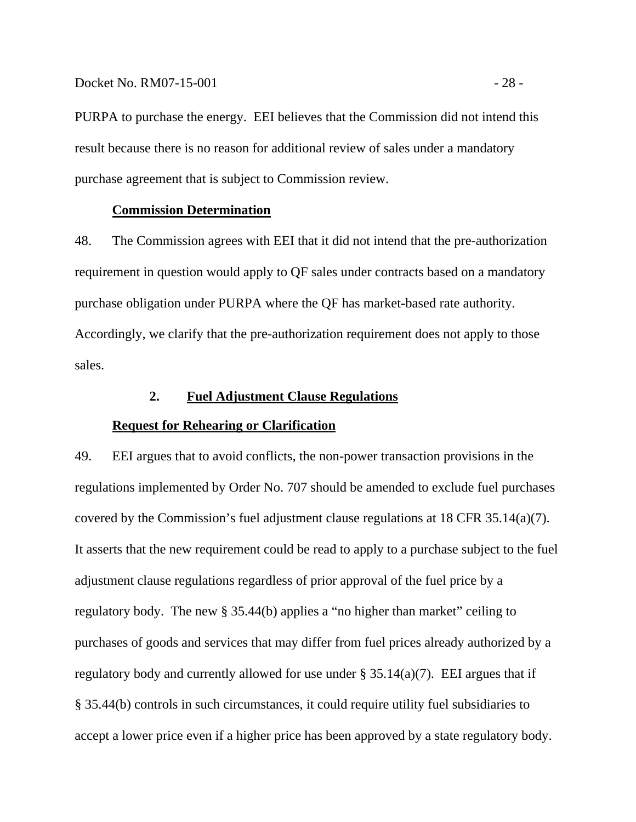Docket No. RM07-15-001 - 28 -

PURPA to purchase the energy. EEI believes that the Commission did not intend this result because there is no reason for additional review of sales under a mandatory purchase agreement that is subject to Commission review.

#### **Commission Determination**

48. The Commission agrees with EEI that it did not intend that the pre-authorization requirement in question would apply to QF sales under contracts based on a mandatory purchase obligation under PURPA where the QF has market-based rate authority. Accordingly, we clarify that the pre-authorization requirement does not apply to those sales.

## **2. Fuel Adjustment Clause Regulations**

#### **Request for Rehearing or Clarification**

49. EEI argues that to avoid conflicts, the non-power transaction provisions in the regulations implemented by Order No. 707 should be amended to exclude fuel purchases covered by the Commission's fuel adjustment clause regulations at 18 CFR 35.14(a)(7). It asserts that the new requirement could be read to apply to a purchase subject to the fuel adjustment clause regulations regardless of prior approval of the fuel price by a regulatory body. The new § 35.44(b) applies a "no higher than market" ceiling to purchases of goods and services that may differ from fuel prices already authorized by a regulatory body and currently allowed for use under § 35.14(a)(7). EEI argues that if § 35.44(b) controls in such circumstances, it could require utility fuel subsidiaries to accept a lower price even if a higher price has been approved by a state regulatory body.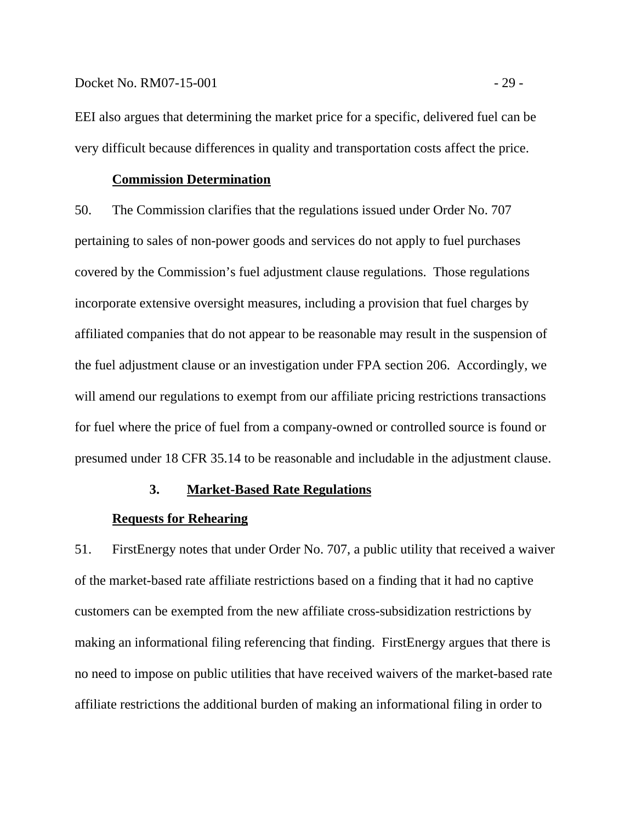#### Docket No. RM07-15-001 - 29 -

EEI also argues that determining the market price for a specific, delivered fuel can be very difficult because differences in quality and transportation costs affect the price.

## **Commission Determination**

50. The Commission clarifies that the regulations issued under Order No. 707 pertaining to sales of non-power goods and services do not apply to fuel purchases covered by the Commission's fuel adjustment clause regulations. Those regulations incorporate extensive oversight measures, including a provision that fuel charges by affiliated companies that do not appear to be reasonable may result in the suspension of the fuel adjustment clause or an investigation under FPA section 206. Accordingly, we will amend our regulations to exempt from our affiliate pricing restrictions transactions for fuel where the price of fuel from a company-owned or controlled source is found or presumed under 18 CFR 35.14 to be reasonable and includable in the adjustment clause.

#### **3. Market-Based Rate Regulations**

#### **Requests for Rehearing**

51. FirstEnergy notes that under Order No. 707, a public utility that received a waiver of the market-based rate affiliate restrictions based on a finding that it had no captive customers can be exempted from the new affiliate cross-subsidization restrictions by making an informational filing referencing that finding. FirstEnergy argues that there is no need to impose on public utilities that have received waivers of the market-based rate affiliate restrictions the additional burden of making an informational filing in order to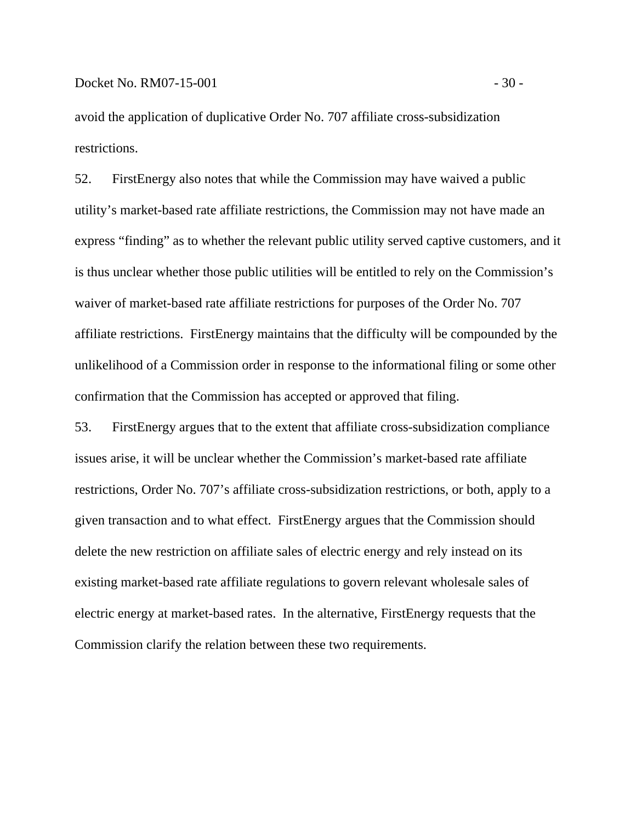avoid the application of duplicative Order No. 707 affiliate cross-subsidization restrictions.

52. FirstEnergy also notes that while the Commission may have waived a public utility's market-based rate affiliate restrictions, the Commission may not have made an express "finding" as to whether the relevant public utility served captive customers, and it is thus unclear whether those public utilities will be entitled to rely on the Commission's waiver of market-based rate affiliate restrictions for purposes of the Order No. 707 affiliate restrictions. FirstEnergy maintains that the difficulty will be compounded by the unlikelihood of a Commission order in response to the informational filing or some other confirmation that the Commission has accepted or approved that filing.

53. FirstEnergy argues that to the extent that affiliate cross-subsidization compliance issues arise, it will be unclear whether the Commission's market-based rate affiliate restrictions, Order No. 707's affiliate cross-subsidization restrictions, or both, apply to a given transaction and to what effect. FirstEnergy argues that the Commission should delete the new restriction on affiliate sales of electric energy and rely instead on its existing market-based rate affiliate regulations to govern relevant wholesale sales of electric energy at market-based rates. In the alternative, FirstEnergy requests that the Commission clarify the relation between these two requirements.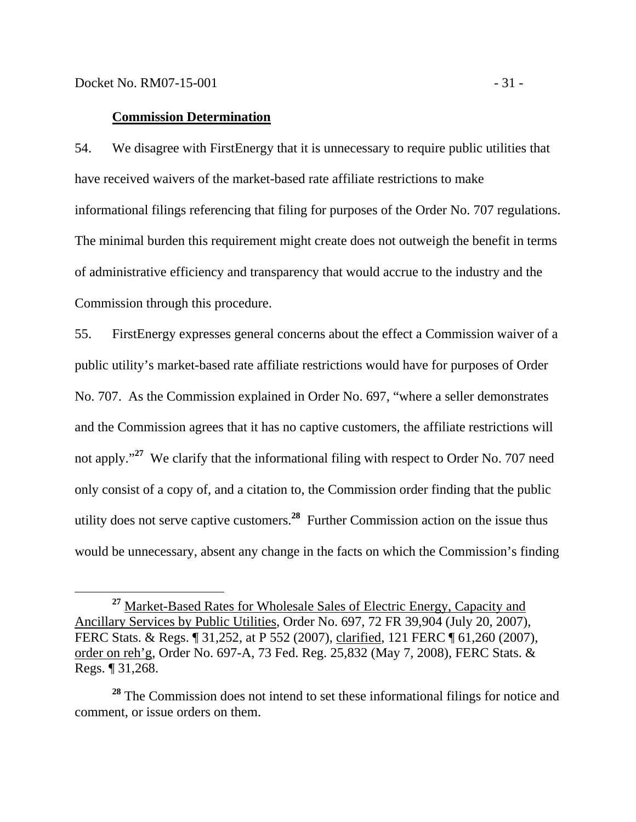#### **Commission Determination**

54. We disagree with FirstEnergy that it is unnecessary to require public utilities that have received waivers of the market-based rate affiliate restrictions to make informational filings referencing that filing for purposes of the Order No. 707 regulations. The minimal burden this requirement might create does not outweigh the benefit in terms of administrative efficiency and transparency that would accrue to the industry and the Commission through this procedure.

55. FirstEnergy expresses general concerns about the effect a Commission waiver of a public utility's market-based rate affiliate restrictions would have for purposes of Order No. 707. As the Commission explained in Order No. 697, "where a seller demonstrates and the Commission agrees that it has no captive customers, the affiliate restrictions will not apply."<sup>27</sup> We clarify that the informational filing with respect to Order No. 707 need only consist of a copy of, and a citation to, the Commission order finding that the public utility does not serve captive customers.**<sup>28</sup>** Further Commission action on the issue thus would be unnecessary, absent any change in the facts on which the Commission's finding

**<sup>27</sup>** Market-Based Rates for Wholesale Sales of Electric Energy, Capacity and Ancillary Services by Public Utilities, Order No. 697, 72 FR 39,904 (July 20, 2007), FERC Stats. & Regs. ¶ 31,252, at P 552 (2007), clarified, 121 FERC ¶ 61,260 (2007), order on reh'g, Order No. 697-A, 73 Fed. Reg. 25,832 (May 7, 2008), FERC Stats. & Regs. ¶ 31,268.

**<sup>28</sup>** The Commission does not intend to set these informational filings for notice and comment, or issue orders on them.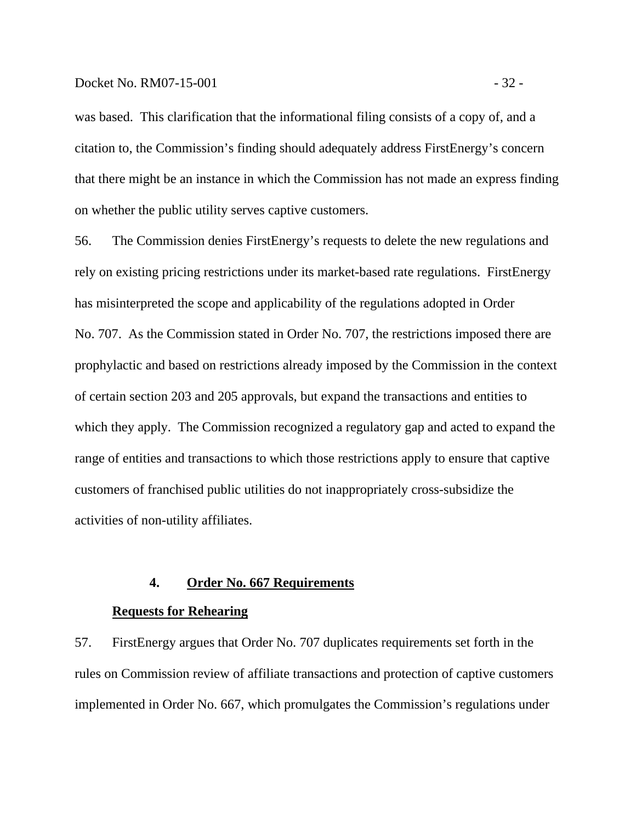#### Docket No. RM07-15-001 - 32 -

was based. This clarification that the informational filing consists of a copy of, and a citation to, the Commission's finding should adequately address FirstEnergy's concern that there might be an instance in which the Commission has not made an express finding on whether the public utility serves captive customers.

56. The Commission denies FirstEnergy's requests to delete the new regulations and rely on existing pricing restrictions under its market-based rate regulations. FirstEnergy has misinterpreted the scope and applicability of the regulations adopted in Order No. 707. As the Commission stated in Order No. 707, the restrictions imposed there are prophylactic and based on restrictions already imposed by the Commission in the context of certain section 203 and 205 approvals, but expand the transactions and entities to which they apply. The Commission recognized a regulatory gap and acted to expand the range of entities and transactions to which those restrictions apply to ensure that captive customers of franchised public utilities do not inappropriately cross-subsidize the activities of non-utility affiliates.

## **4. Order No. 667 Requirements**

#### **Requests for Rehearing**

57. FirstEnergy argues that Order No. 707 duplicates requirements set forth in the rules on Commission review of affiliate transactions and protection of captive customers implemented in Order No. 667, which promulgates the Commission's regulations under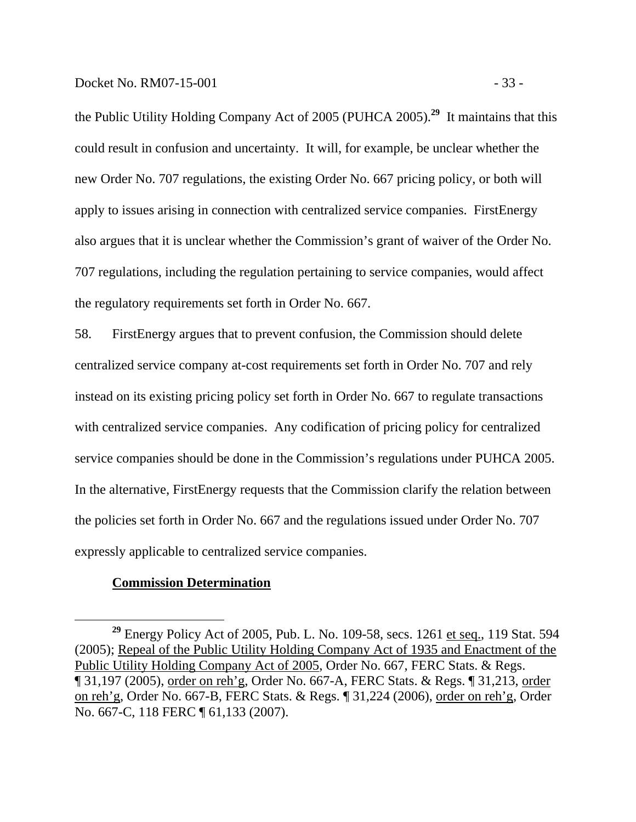the Public Utility Holding Company Act of 2005 (PUHCA 2005).**<sup>29</sup>** It maintains that this could result in confusion and uncertainty. It will, for example, be unclear whether the new Order No. 707 regulations, the existing Order No. 667 pricing policy, or both will apply to issues arising in connection with centralized service companies. FirstEnergy also argues that it is unclear whether the Commission's grant of waiver of the Order No. 707 regulations, including the regulation pertaining to service companies, would affect the regulatory requirements set forth in Order No. 667.

58. FirstEnergy argues that to prevent confusion, the Commission should delete centralized service company at-cost requirements set forth in Order No. 707 and rely instead on its existing pricing policy set forth in Order No. 667 to regulate transactions with centralized service companies. Any codification of pricing policy for centralized service companies should be done in the Commission's regulations under PUHCA 2005. In the alternative, FirstEnergy requests that the Commission clarify the relation between the policies set forth in Order No. 667 and the regulations issued under Order No. 707 expressly applicable to centralized service companies.

## **Commission Determination**

<sup>&</sup>lt;sup>29</sup> Energy Policy Act of 2005, Pub. L. No. 109-58, secs. 1261 et seq., 119 Stat. 594 (2005); Repeal of the Public Utility Holding Company Act of 1935 and Enactment of the Public Utility Holding Company Act of 2005, Order No. 667, FERC Stats. & Regs. ¶ 31,197 (2005), order on reh'g, Order No. 667-A, FERC Stats. & Regs. ¶ 31,213, order on reh'g, Order No. 667-B, FERC Stats. & Regs. ¶ 31,224 (2006), order on reh'g, Order No. 667-C, 118 FERC ¶ 61,133 (2007).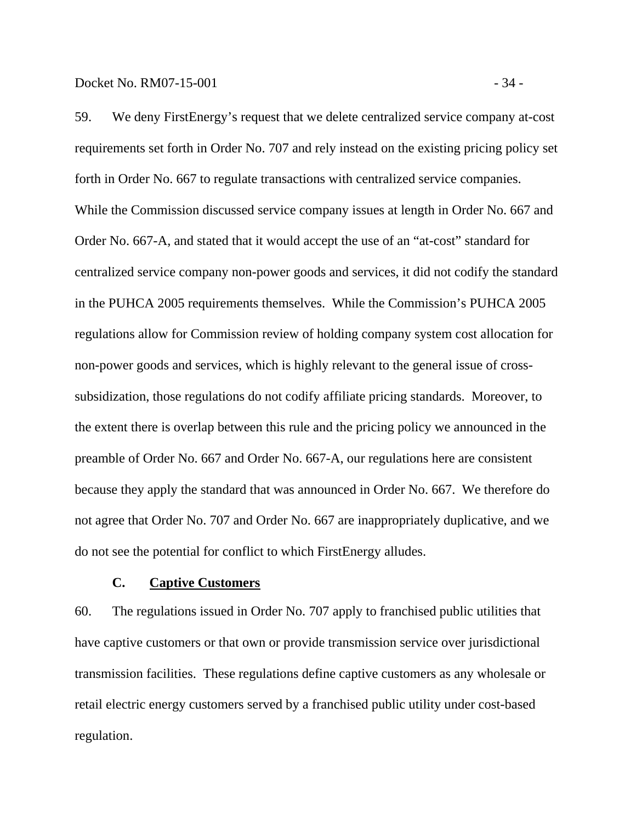59. We deny FirstEnergy's request that we delete centralized service company at-cost requirements set forth in Order No. 707 and rely instead on the existing pricing policy set forth in Order No. 667 to regulate transactions with centralized service companies. While the Commission discussed service company issues at length in Order No. 667 and Order No. 667-A, and stated that it would accept the use of an "at-cost" standard for centralized service company non-power goods and services, it did not codify the standard in the PUHCA 2005 requirements themselves. While the Commission's PUHCA 2005 regulations allow for Commission review of holding company system cost allocation for non-power goods and services, which is highly relevant to the general issue of crosssubsidization, those regulations do not codify affiliate pricing standards. Moreover, to the extent there is overlap between this rule and the pricing policy we announced in the preamble of Order No. 667 and Order No. 667-A, our regulations here are consistent because they apply the standard that was announced in Order No. 667. We therefore do not agree that Order No. 707 and Order No. 667 are inappropriately duplicative, and we do not see the potential for conflict to which FirstEnergy alludes.

### **C. Captive Customers**

60. The regulations issued in Order No. 707 apply to franchised public utilities that have captive customers or that own or provide transmission service over jurisdictional transmission facilities. These regulations define captive customers as any wholesale or retail electric energy customers served by a franchised public utility under cost-based regulation.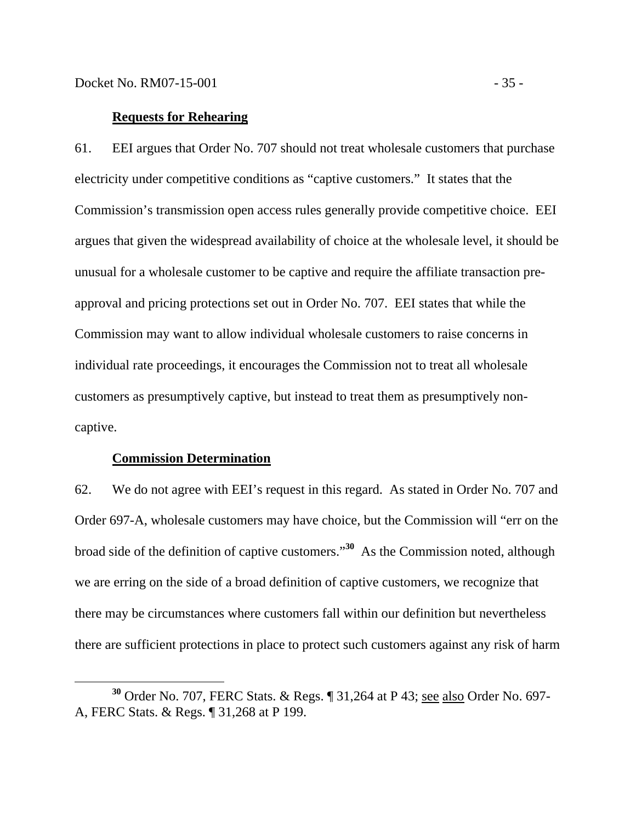#### **Requests for Rehearing**

61. EEI argues that Order No. 707 should not treat wholesale customers that purchase electricity under competitive conditions as "captive customers." It states that the Commission's transmission open access rules generally provide competitive choice. EEI argues that given the widespread availability of choice at the wholesale level, it should be unusual for a wholesale customer to be captive and require the affiliate transaction preapproval and pricing protections set out in Order No. 707. EEI states that while the Commission may want to allow individual wholesale customers to raise concerns in individual rate proceedings, it encourages the Commission not to treat all wholesale customers as presumptively captive, but instead to treat them as presumptively noncaptive.

#### **Commission Determination**

62. We do not agree with EEI's request in this regard. As stated in Order No. 707 and Order 697-A, wholesale customers may have choice, but the Commission will "err on the broad side of the definition of captive customers."**<sup>30</sup>** As the Commission noted, although we are erring on the side of a broad definition of captive customers, we recognize that there may be circumstances where customers fall within our definition but nevertheless there are sufficient protections in place to protect such customers against any risk of harm

**<sup>30</sup>** Order No. 707, FERC Stats. & Regs. ¶ 31,264 at P 43; see also Order No. 697- A, FERC Stats. & Regs. ¶ 31,268 at P 199.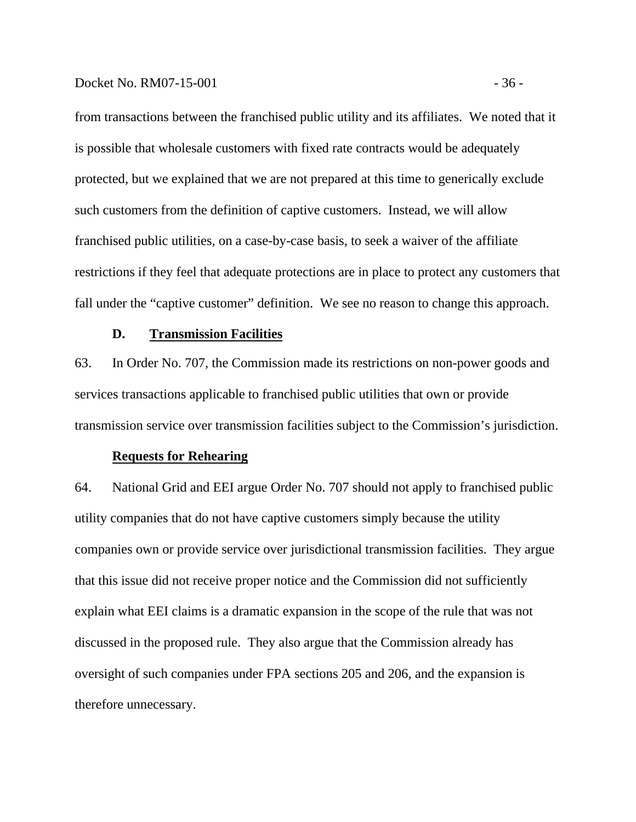#### Docket No. RM07-15-001 - 36 -

from transactions between the franchised public utility and its affiliates. We noted that it is possible that wholesale customers with fixed rate contracts would be adequately protected, but we explained that we are not prepared at this time to generically exclude such customers from the definition of captive customers. Instead, we will allow franchised public utilities, on a case-by-case basis, to seek a waiver of the affiliate restrictions if they feel that adequate protections are in place to protect any customers that fall under the "captive customer" definition. We see no reason to change this approach.

#### **D. Transmission Facilities**

63. In Order No. 707, the Commission made its restrictions on non-power goods and services transactions applicable to franchised public utilities that own or provide transmission service over transmission facilities subject to the Commission's jurisdiction.

## **Requests for Rehearing**

64. National Grid and EEI argue Order No. 707 should not apply to franchised public utility companies that do not have captive customers simply because the utility companies own or provide service over jurisdictional transmission facilities. They argue that this issue did not receive proper notice and the Commission did not sufficiently explain what EEI claims is a dramatic expansion in the scope of the rule that was not discussed in the proposed rule. They also argue that the Commission already has oversight of such companies under FPA sections 205 and 206, and the expansion is therefore unnecessary.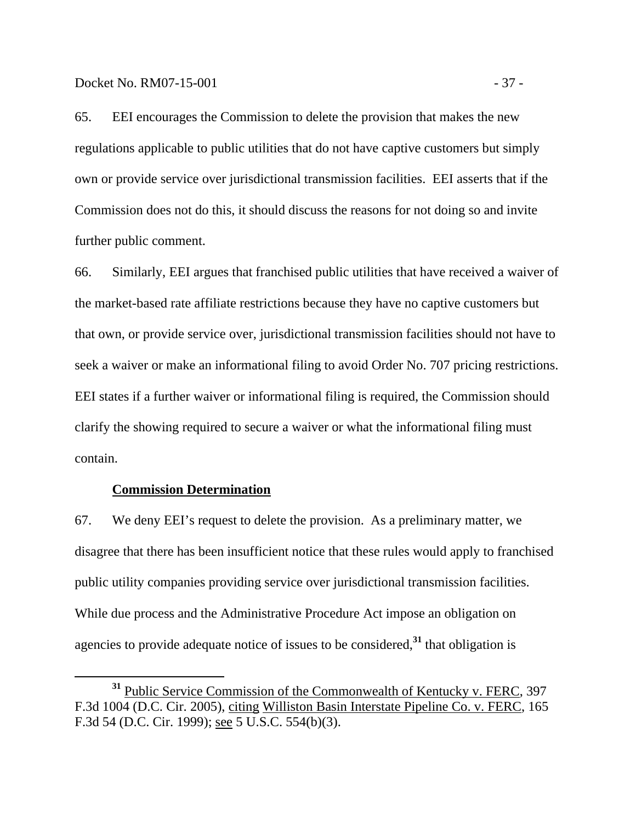65. EEI encourages the Commission to delete the provision that makes the new regulations applicable to public utilities that do not have captive customers but simply own or provide service over jurisdictional transmission facilities. EEI asserts that if the Commission does not do this, it should discuss the reasons for not doing so and invite further public comment.

66. Similarly, EEI argues that franchised public utilities that have received a waiver of the market-based rate affiliate restrictions because they have no captive customers but that own, or provide service over, jurisdictional transmission facilities should not have to seek a waiver or make an informational filing to avoid Order No. 707 pricing restrictions. EEI states if a further waiver or informational filing is required, the Commission should clarify the showing required to secure a waiver or what the informational filing must contain.

#### **Commission Determination**

67. We deny EEI's request to delete the provision. As a preliminary matter, we disagree that there has been insufficient notice that these rules would apply to franchised public utility companies providing service over jurisdictional transmission facilities. While due process and the Administrative Procedure Act impose an obligation on agencies to provide adequate notice of issues to be considered,**<sup>31</sup>** that obligation is

**<sup>31</sup>** Public Service Commission of the Commonwealth of Kentucky v. FERC, 397 F.3d 1004 (D.C. Cir. 2005), citing Williston Basin Interstate Pipeline Co. v. FERC, 165 F.3d 54 (D.C. Cir. 1999); see 5 U.S.C. 554(b)(3).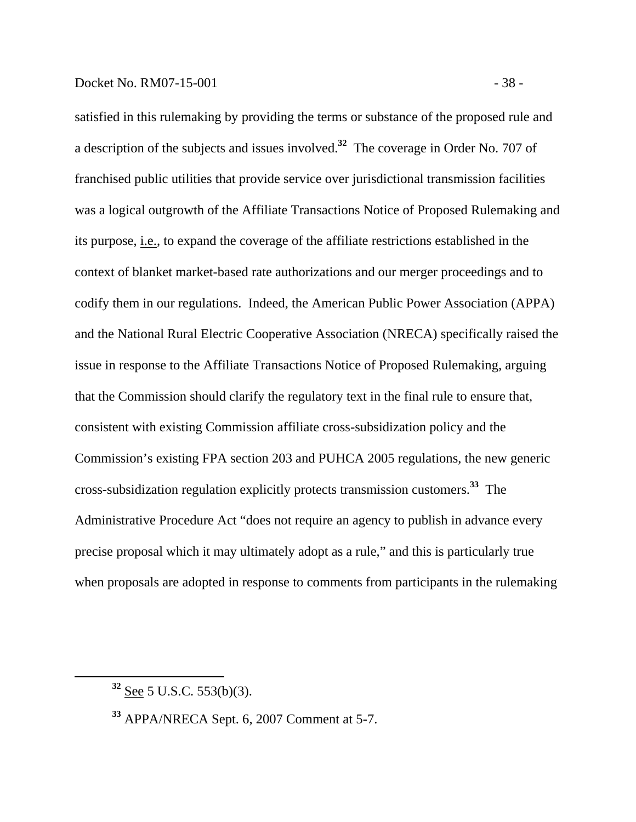#### Docket No. RM07-15-001 - 38 -

satisfied in this rulemaking by providing the terms or substance of the proposed rule and a description of the subjects and issues involved.**<sup>32</sup>** The coverage in Order No. 707 of franchised public utilities that provide service over jurisdictional transmission facilities was a logical outgrowth of the Affiliate Transactions Notice of Proposed Rulemaking and its purpose, i.e., to expand the coverage of the affiliate restrictions established in the context of blanket market-based rate authorizations and our merger proceedings and to codify them in our regulations. Indeed, the American Public Power Association (APPA) and the National Rural Electric Cooperative Association (NRECA) specifically raised the issue in response to the Affiliate Transactions Notice of Proposed Rulemaking, arguing that the Commission should clarify the regulatory text in the final rule to ensure that, consistent with existing Commission affiliate cross-subsidization policy and the Commission's existing FPA section 203 and PUHCA 2005 regulations, the new generic cross-subsidization regulation explicitly protects transmission customers.**<sup>33</sup>** The Administrative Procedure Act "does not require an agency to publish in advance every precise proposal which it may ultimately adopt as a rule," and this is particularly true when proposals are adopted in response to comments from participants in the rulemaking

**<sup>32</sup>** See 5 U.S.C. 553(b)(3).

**<sup>33</sup>** APPA/NRECA Sept. 6, 2007 Comment at 5-7.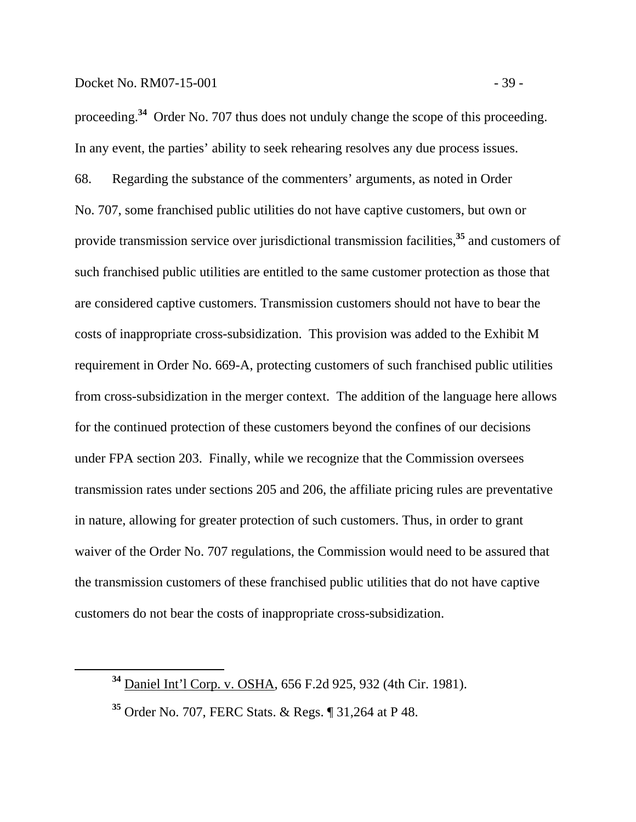proceeding.**<sup>34</sup>** Order No. 707 thus does not unduly change the scope of this proceeding. In any event, the parties' ability to seek rehearing resolves any due process issues.

68. Regarding the substance of the commenters' arguments, as noted in Order No. 707, some franchised public utilities do not have captive customers, but own or provide transmission service over jurisdictional transmission facilities,**<sup>35</sup>** and customers of such franchised public utilities are entitled to the same customer protection as those that are considered captive customers. Transmission customers should not have to bear the costs of inappropriate cross-subsidization. This provision was added to the Exhibit M requirement in Order No. 669-A, protecting customers of such franchised public utilities from cross-subsidization in the merger context. The addition of the language here allows for the continued protection of these customers beyond the confines of our decisions under FPA section 203. Finally, while we recognize that the Commission oversees transmission rates under sections 205 and 206, the affiliate pricing rules are preventative in nature, allowing for greater protection of such customers. Thus, in order to grant waiver of the Order No. 707 regulations, the Commission would need to be assured that the transmission customers of these franchised public utilities that do not have captive customers do not bear the costs of inappropriate cross-subsidization.

**<sup>34</sup>** Daniel Int'l Corp. v. OSHA, 656 F.2d 925, 932 (4th Cir. 1981).

**<sup>35</sup>** Order No. 707, FERC Stats. & Regs. ¶ 31,264 at P 48.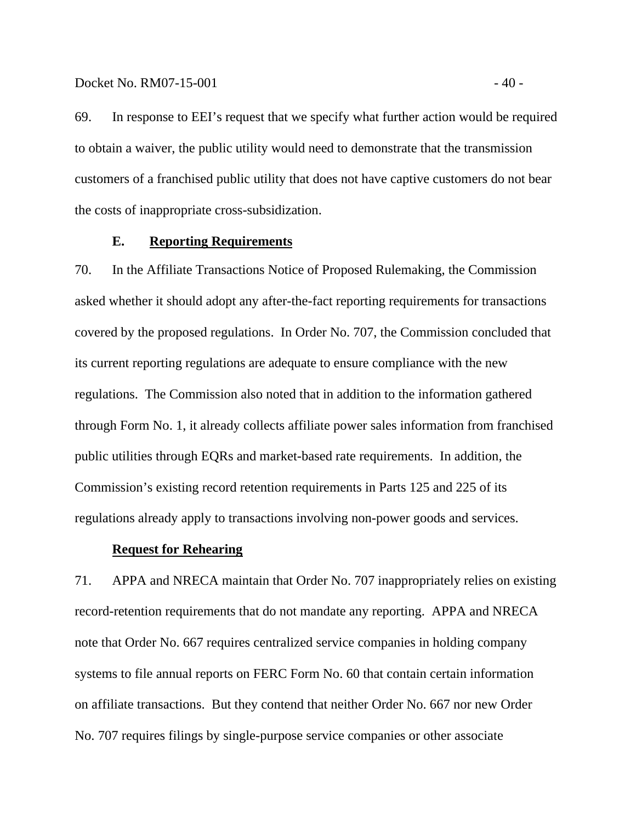69. In response to EEI's request that we specify what further action would be required to obtain a waiver, the public utility would need to demonstrate that the transmission customers of a franchised public utility that does not have captive customers do not bear the costs of inappropriate cross-subsidization.

#### **E. Reporting Requirements**

70. In the Affiliate Transactions Notice of Proposed Rulemaking, the Commission asked whether it should adopt any after-the-fact reporting requirements for transactions covered by the proposed regulations. In Order No. 707, the Commission concluded that its current reporting regulations are adequate to ensure compliance with the new regulations. The Commission also noted that in addition to the information gathered through Form No. 1, it already collects affiliate power sales information from franchised public utilities through EQRs and market-based rate requirements. In addition, the Commission's existing record retention requirements in Parts 125 and 225 of its regulations already apply to transactions involving non-power goods and services.

## **Request for Rehearing**

71. APPA and NRECA maintain that Order No. 707 inappropriately relies on existing record-retention requirements that do not mandate any reporting. APPA and NRECA note that Order No. 667 requires centralized service companies in holding company systems to file annual reports on FERC Form No. 60 that contain certain information on affiliate transactions. But they contend that neither Order No. 667 nor new Order No. 707 requires filings by single-purpose service companies or other associate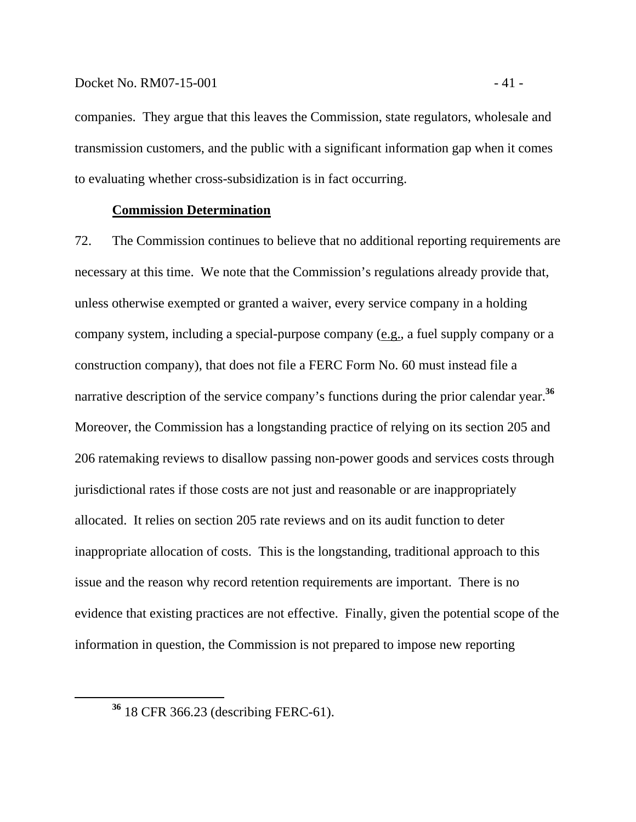#### Docket No. RM07-15-001 - 41 -

companies. They argue that this leaves the Commission, state regulators, wholesale and transmission customers, and the public with a significant information gap when it comes to evaluating whether cross-subsidization is in fact occurring.

### **Commission Determination**

72. The Commission continues to believe that no additional reporting requirements are necessary at this time. We note that the Commission's regulations already provide that, unless otherwise exempted or granted a waiver, every service company in a holding company system, including a special-purpose company (e.g., a fuel supply company or a construction company), that does not file a FERC Form No. 60 must instead file a narrative description of the service company's functions during the prior calendar year.<sup>36</sup> Moreover, the Commission has a longstanding practice of relying on its section 205 and 206 ratemaking reviews to disallow passing non-power goods and services costs through jurisdictional rates if those costs are not just and reasonable or are inappropriately allocated. It relies on section 205 rate reviews and on its audit function to deter inappropriate allocation of costs. This is the longstanding, traditional approach to this issue and the reason why record retention requirements are important. There is no evidence that existing practices are not effective. Finally, given the potential scope of the information in question, the Commission is not prepared to impose new reporting

**<sup>36</sup>** 18 CFR 366.23 (describing FERC-61).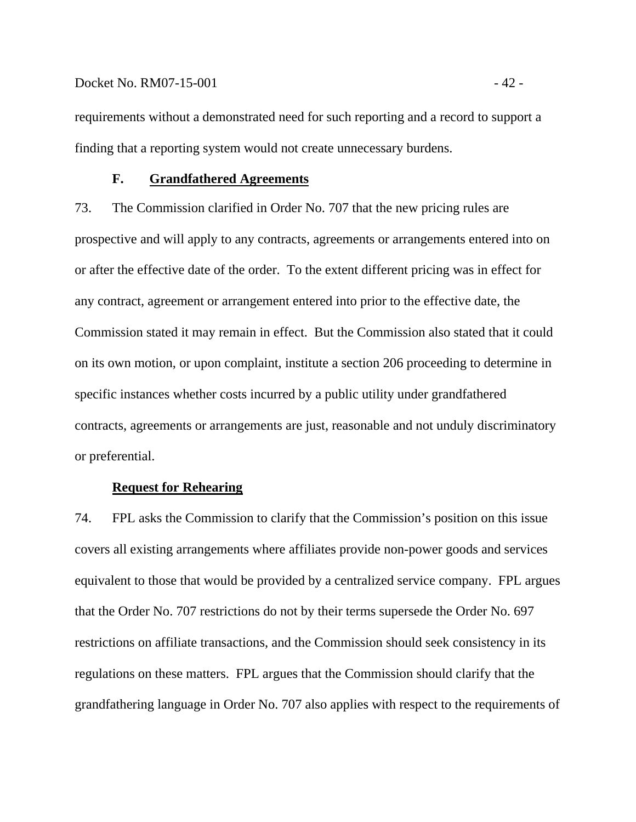requirements without a demonstrated need for such reporting and a record to support a finding that a reporting system would not create unnecessary burdens.

#### **F. Grandfathered Agreements**

73. The Commission clarified in Order No. 707 that the new pricing rules are prospective and will apply to any contracts, agreements or arrangements entered into on or after the effective date of the order. To the extent different pricing was in effect for any contract, agreement or arrangement entered into prior to the effective date, the Commission stated it may remain in effect. But the Commission also stated that it could on its own motion, or upon complaint, institute a section 206 proceeding to determine in specific instances whether costs incurred by a public utility under grandfathered contracts, agreements or arrangements are just, reasonable and not unduly discriminatory or preferential.

#### **Request for Rehearing**

74. FPL asks the Commission to clarify that the Commission's position on this issue covers all existing arrangements where affiliates provide non-power goods and services equivalent to those that would be provided by a centralized service company. FPL argues that the Order No. 707 restrictions do not by their terms supersede the Order No. 697 restrictions on affiliate transactions, and the Commission should seek consistency in its regulations on these matters. FPL argues that the Commission should clarify that the grandfathering language in Order No. 707 also applies with respect to the requirements of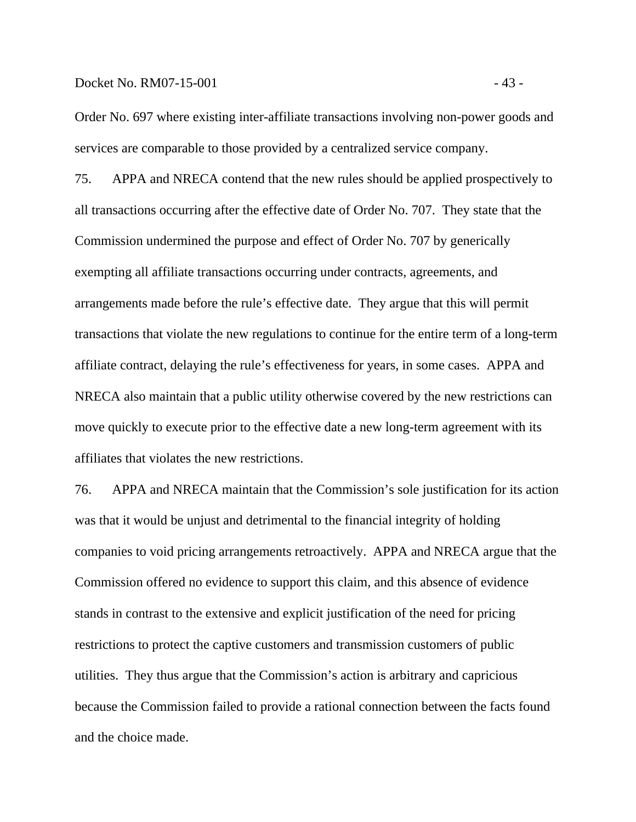#### Docket No. RM07-15-001 - 43 -

Order No. 697 where existing inter-affiliate transactions involving non-power goods and services are comparable to those provided by a centralized service company.

75. APPA and NRECA contend that the new rules should be applied prospectively to all transactions occurring after the effective date of Order No. 707. They state that the Commission undermined the purpose and effect of Order No. 707 by generically exempting all affiliate transactions occurring under contracts, agreements, and arrangements made before the rule's effective date. They argue that this will permit transactions that violate the new regulations to continue for the entire term of a long-term affiliate contract, delaying the rule's effectiveness for years, in some cases. APPA and NRECA also maintain that a public utility otherwise covered by the new restrictions can move quickly to execute prior to the effective date a new long-term agreement with its affiliates that violates the new restrictions.

76. APPA and NRECA maintain that the Commission's sole justification for its action was that it would be unjust and detrimental to the financial integrity of holding companies to void pricing arrangements retroactively. APPA and NRECA argue that the Commission offered no evidence to support this claim, and this absence of evidence stands in contrast to the extensive and explicit justification of the need for pricing restrictions to protect the captive customers and transmission customers of public utilities. They thus argue that the Commission's action is arbitrary and capricious because the Commission failed to provide a rational connection between the facts found and the choice made.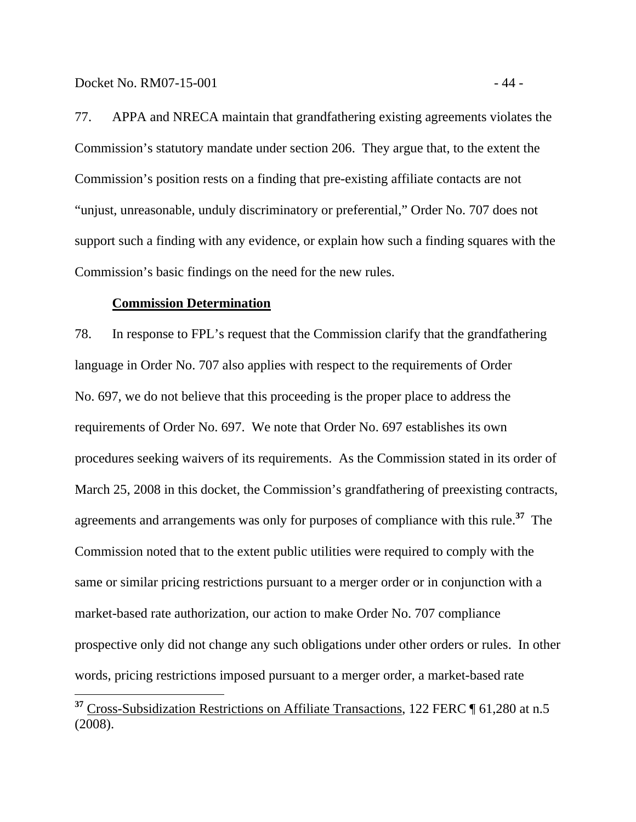Docket No. RM07-15-001 - 44

 $\overline{a}$ 

77. APPA and NRECA maintain that grandfathering existing agreements violates the Commission's statutory mandate under section 206. They argue that, to the extent the Commission's position rests on a finding that pre-existing affiliate contacts are not "unjust, unreasonable, unduly discriminatory or preferential," Order No. 707 does not support such a finding with any evidence, or explain how such a finding squares with the Commission's basic findings on the need for the new rules.

#### **Commission Determination**

78. In response to FPL's request that the Commission clarify that the grandfathering language in Order No. 707 also applies with respect to the requirements of Order No. 697, we do not believe that this proceeding is the proper place to address the requirements of Order No. 697. We note that Order No. 697 establishes its own procedures seeking waivers of its requirements. As the Commission stated in its order of March 25, 2008 in this docket, the Commission's grandfathering of preexisting contracts, agreements and arrangements was only for purposes of compliance with this rule.**<sup>37</sup>** The Commission noted that to the extent public utilities were required to comply with the same or similar pricing restrictions pursuant to a merger order or in conjunction with a market-based rate authorization, our action to make Order No. 707 compliance prospective only did not change any such obligations under other orders or rules. In other words, pricing restrictions imposed pursuant to a merger order, a market-based rate

**<sup>37</sup>** Cross-Subsidization Restrictions on Affiliate Transactions, 122 FERC ¶ 61,280 at n.5 (2008).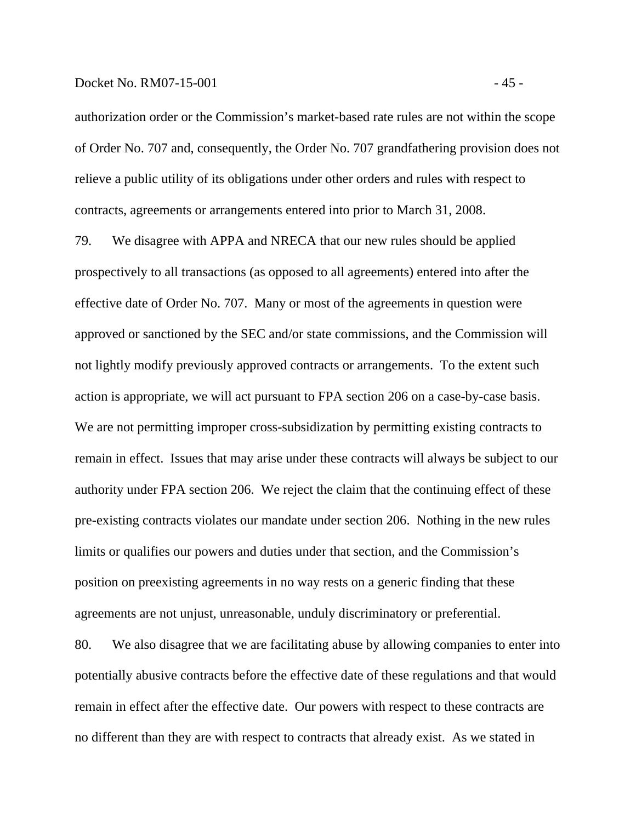authorization order or the Commission's market-based rate rules are not within the scope of Order No. 707 and, consequently, the Order No. 707 grandfathering provision does not relieve a public utility of its obligations under other orders and rules with respect to contracts, agreements or arrangements entered into prior to March 31, 2008.

79. We disagree with APPA and NRECA that our new rules should be applied prospectively to all transactions (as opposed to all agreements) entered into after the effective date of Order No. 707. Many or most of the agreements in question were approved or sanctioned by the SEC and/or state commissions, and the Commission will not lightly modify previously approved contracts or arrangements. To the extent such action is appropriate, we will act pursuant to FPA section 206 on a case-by-case basis. We are not permitting improper cross-subsidization by permitting existing contracts to remain in effect. Issues that may arise under these contracts will always be subject to our authority under FPA section 206. We reject the claim that the continuing effect of these pre-existing contracts violates our mandate under section 206. Nothing in the new rules limits or qualifies our powers and duties under that section, and the Commission's position on preexisting agreements in no way rests on a generic finding that these agreements are not unjust, unreasonable, unduly discriminatory or preferential.

80. We also disagree that we are facilitating abuse by allowing companies to enter into potentially abusive contracts before the effective date of these regulations and that would remain in effect after the effective date. Our powers with respect to these contracts are no different than they are with respect to contracts that already exist. As we stated in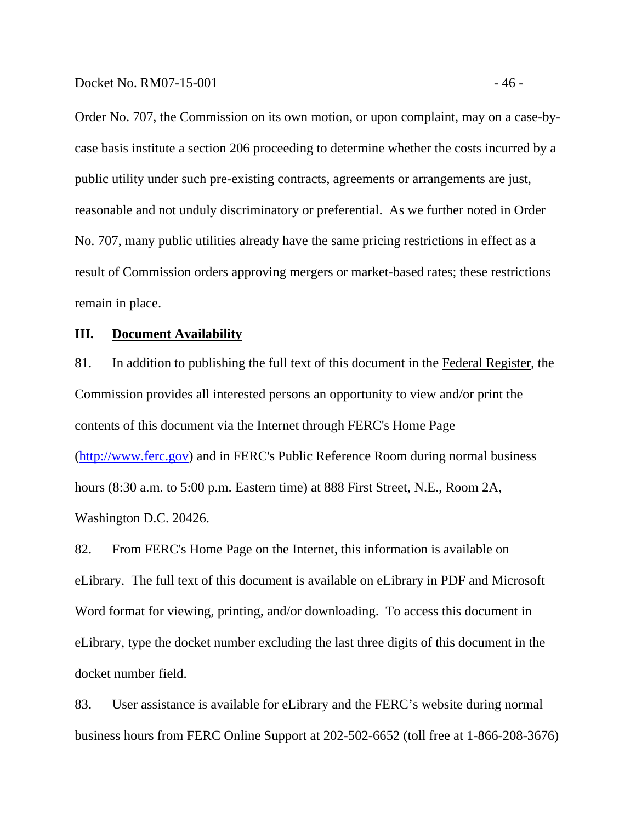Order No. 707, the Commission on its own motion, or upon complaint, may on a case-bycase basis institute a section 206 proceeding to determine whether the costs incurred by a public utility under such pre-existing contracts, agreements or arrangements are just, reasonable and not unduly discriminatory or preferential. As we further noted in Order No. 707, many public utilities already have the same pricing restrictions in effect as a result of Commission orders approving mergers or market-based rates; these restrictions remain in place.

#### **III. Document Availability**

81. In addition to publishing the full text of this document in the Federal Register, the Commission provides all interested persons an opportunity to view and/or print the contents of this document via the Internet through FERC's Home Page (http://www.ferc.gov) and in FERC's Public Reference Room during normal business hours (8:30 a.m. to 5:00 p.m. Eastern time) at 888 First Street, N.E., Room 2A, Washington D.C. 20426.

82. From FERC's Home Page on the Internet, this information is available on eLibrary. The full text of this document is available on eLibrary in PDF and Microsoft Word format for viewing, printing, and/or downloading. To access this document in eLibrary, type the docket number excluding the last three digits of this document in the docket number field.

83. User assistance is available for eLibrary and the FERC's website during normal business hours from FERC Online Support at 202-502-6652 (toll free at 1-866-208-3676)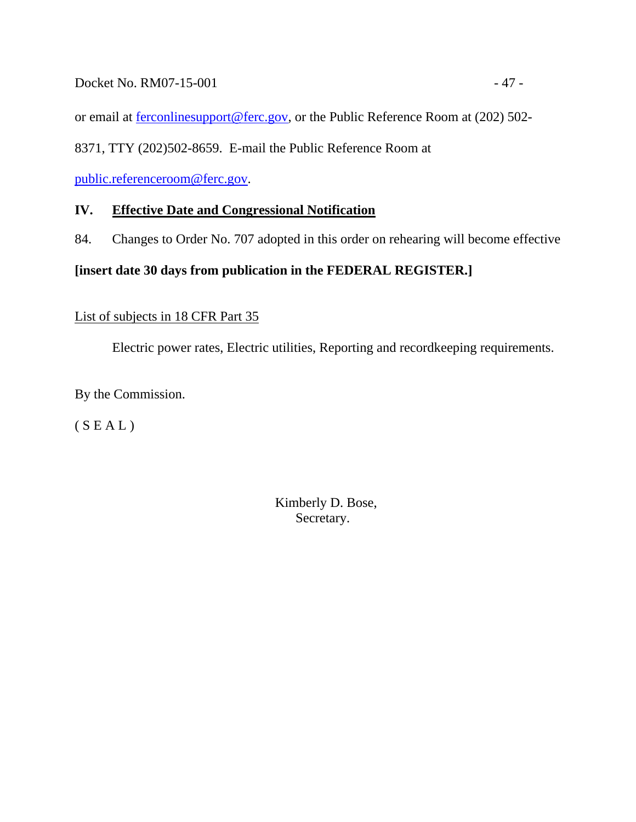# Docket No. RM07-15-001 - 47 -

or email at ferconlinesupport@ferc.gov, or the Public Reference Room at (202) 502-

8371, TTY (202)502-8659. E-mail the Public Reference Room at

public.referenceroom@ferc.gov.

# **IV. Effective Date and Congressional Notification**

84. Changes to Order No. 707 adopted in this order on rehearing will become effective

# **[insert date 30 days from publication in the FEDERAL REGISTER.]**

# List of subjects in 18 CFR Part 35

Electric power rates, Electric utilities, Reporting and recordkeeping requirements.

By the Commission.

 $(S E A L)$ 

 Kimberly D. Bose, Secretary.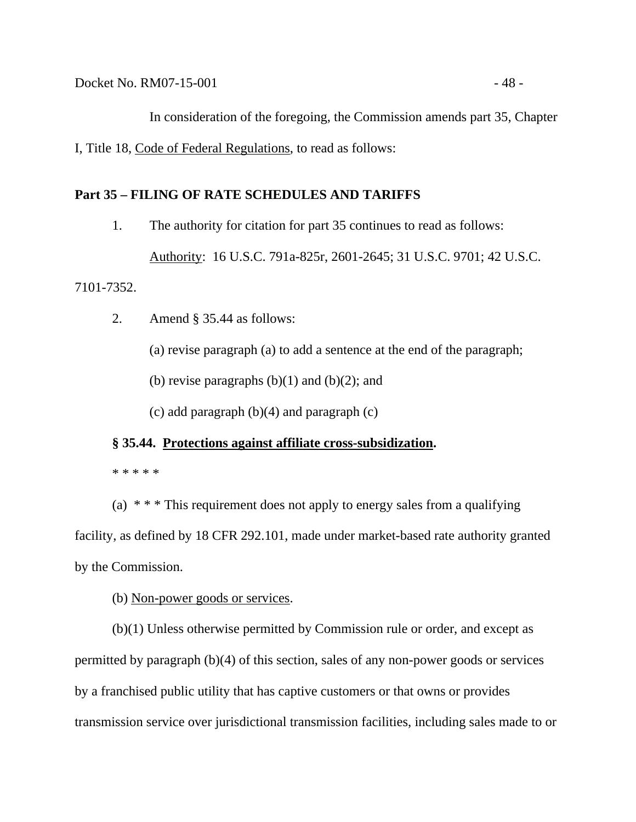In consideration of the foregoing, the Commission amends part 35, Chapter I, Title 18, Code of Federal Regulations, to read as follows:

## **Part 35 – FILING OF RATE SCHEDULES AND TARIFFS**

1. The authority for citation for part 35 continues to read as follows:

Authority: 16 U.S.C. 791a-825r, 2601-2645; 31 U.S.C. 9701; 42 U.S.C.

7101-7352.

2. Amend § 35.44 as follows:

(a) revise paragraph (a) to add a sentence at the end of the paragraph;

(b) revise paragraphs  $(b)(1)$  and  $(b)(2)$ ; and

(c) add paragraph (b)(4) and paragraph (c)

#### **§ 35.44. Protections against affiliate cross-subsidization.**

\* \* \* \* \*

(a)  $***$  This requirement does not apply to energy sales from a qualifying

facility, as defined by 18 CFR 292.101, made under market-based rate authority granted by the Commission.

## (b) Non-power goods or services.

(b)(1) Unless otherwise permitted by Commission rule or order, and except as permitted by paragraph (b)(4) of this section, sales of any non-power goods or services by a franchised public utility that has captive customers or that owns or provides transmission service over jurisdictional transmission facilities, including sales made to or